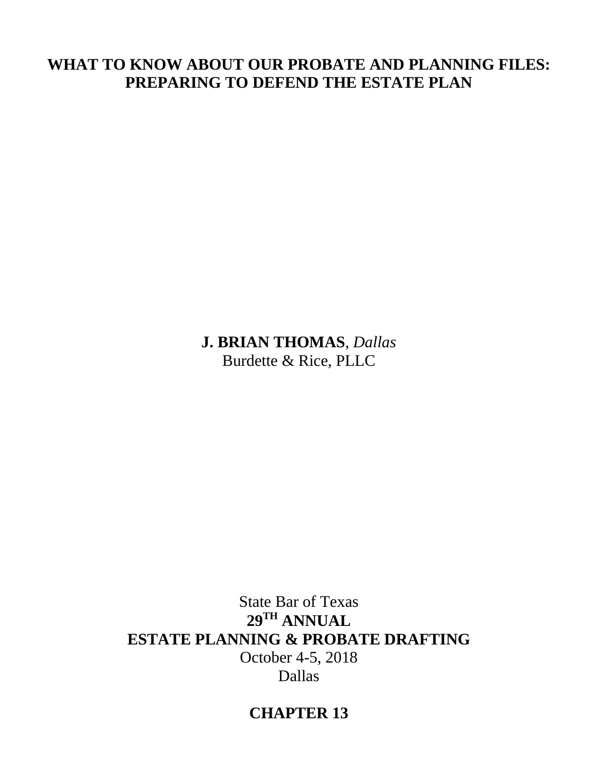# **WHAT TO KNOW ABOUT OUR PROBATE AND PLANNING FILES: PREPARING TO DEFEND THE ESTATE PLAN**

**J. BRIAN THOMAS**, *Dallas* Burdette & Rice, PLLC

State Bar of Texas **29TH ANNUAL ESTATE PLANNING & PROBATE DRAFTING** October 4-5, 2018 Dallas

# **CHAPTER 13**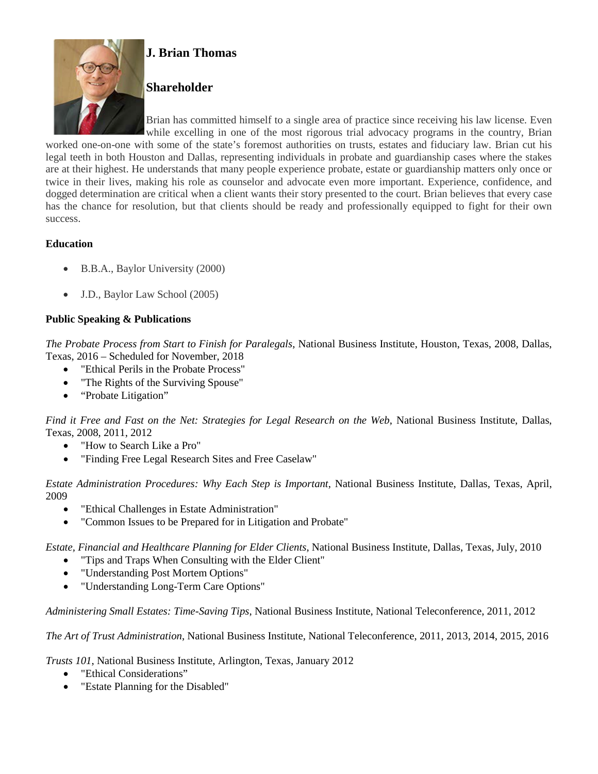

## **J. Brian Thomas**

## **Shareholder**

Brian has committed himself to a single area of practice since receiving his law license. Even while excelling in one of the most rigorous trial advocacy programs in the country, Brian

worked one-on-one with some of the state's foremost authorities on trusts, estates and fiduciary law. Brian cut his legal teeth in both Houston and Dallas, representing individuals in probate and guardianship cases where the stakes are at their highest. He understands that many people experience probate, estate or guardianship matters only once or twice in their lives, making his role as counselor and advocate even more important. Experience, confidence, and dogged determination are critical when a client wants their story presented to the court. Brian believes that every case has the chance for resolution, but that clients should be ready and professionally equipped to fight for their own success.

## **Education**

- B.B.A., Baylor University (2000)
- J.D., Baylor Law School (2005)

## **Public Speaking & Publications**

*The Probate Process from Start to Finish for Paralegals*, National Business Institute, Houston, Texas, 2008, Dallas, Texas, 2016 – Scheduled for November, 2018

- "Ethical Perils in the Probate Process"
- "The Rights of the Surviving Spouse"
- "Probate Litigation"

*Find it Free and Fast on the Net: Strategies for Legal Research on the Web*, National Business Institute, Dallas, Texas, 2008, 2011, 2012

- "How to Search Like a Pro"
- "Finding Free Legal Research Sites and Free Caselaw"

*Estate Administration Procedures: Why Each Step is Important*, National Business Institute, Dallas, Texas, April, 2009

- "Ethical Challenges in Estate Administration"
- "Common Issues to be Prepared for in Litigation and Probate"

*Estate, Financial and Healthcare Planning for Elder Clients*, National Business Institute, Dallas, Texas, July, 2010

- "Tips and Traps When Consulting with the Elder Client"
- "Understanding Post Mortem Options"
- "Understanding Long-Term Care Options"

*Administering Small Estates: Time-Saving Tips*, National Business Institute, National Teleconference, 2011, 2012

*The Art of Trust Administration*, National Business Institute, National Teleconference, 2011, 2013, 2014, 2015, 2016

*Trusts 101*, National Business Institute, Arlington, Texas, January 2012

- "Ethical Considerations"
- "Estate Planning for the Disabled"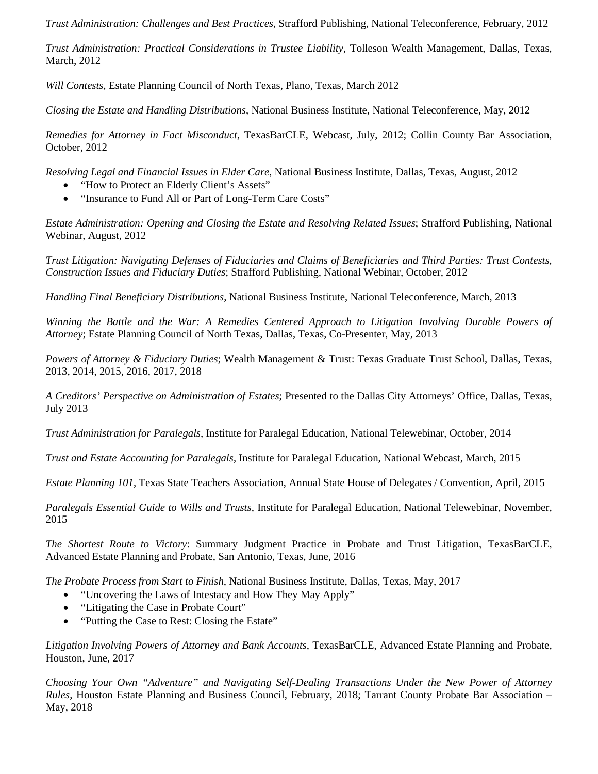*Trust Administration: Challenges and Best Practices*, Strafford Publishing, National Teleconference, February, 2012

*Trust Administration: Practical Considerations in Trustee Liability*, Tolleson Wealth Management, Dallas, Texas, March, 2012

*Will Contests*, Estate Planning Council of North Texas, Plano, Texas, March 2012

*Closing the Estate and Handling Distributions*, National Business Institute, National Teleconference, May, 2012

*Remedies for Attorney in Fact Misconduct*, TexasBarCLE, Webcast, July, 2012; Collin County Bar Association, October, 2012

*Resolving Legal and Financial Issues in Elder Care*, National Business Institute, Dallas, Texas, August, 2012

- "How to Protect an Elderly Client's Assets"
- "Insurance to Fund All or Part of Long-Term Care Costs"

*Estate Administration: Opening and Closing the Estate and Resolving Related Issues*; Strafford Publishing, National Webinar, August, 2012

*Trust Litigation: Navigating Defenses of Fiduciaries and Claims of Beneficiaries and Third Parties: Trust Contests, Construction Issues and Fiduciary Duties*; Strafford Publishing, National Webinar, October, 2012

*Handling Final Beneficiary Distributions*, National Business Institute, National Teleconference, March, 2013

*Winning the Battle and the War: A Remedies Centered Approach to Litigation Involving Durable Powers of Attorney*; Estate Planning Council of North Texas, Dallas, Texas, Co-Presenter, May, 2013

*Powers of Attorney & Fiduciary Duties*; Wealth Management & Trust: Texas Graduate Trust School, Dallas, Texas, 2013, 2014, 2015, 2016, 2017, 2018

*A Creditors' Perspective on Administration of Estates*; Presented to the Dallas City Attorneys' Office, Dallas, Texas, July 2013

*Trust Administration for Paralegals*, Institute for Paralegal Education, National Telewebinar, October, 2014

*Trust and Estate Accounting for Paralegals*, Institute for Paralegal Education, National Webcast, March, 2015

*Estate Planning 101*, Texas State Teachers Association, Annual State House of Delegates / Convention, April, 2015

*Paralegals Essential Guide to Wills and Trusts*, Institute for Paralegal Education, National Telewebinar, November, 2015

*The Shortest Route to Victory*: Summary Judgment Practice in Probate and Trust Litigation, TexasBarCLE, Advanced Estate Planning and Probate, San Antonio, Texas, June, 2016

*The Probate Process from Start to Finish*, National Business Institute, Dallas, Texas, May, 2017

- "Uncovering the Laws of Intestacy and How They May Apply"
- "Litigating the Case in Probate Court"
- "Putting the Case to Rest: Closing the Estate"

*Litigation Involving Powers of Attorney and Bank Accounts*, TexasBarCLE, Advanced Estate Planning and Probate, Houston, June, 2017

*Choosing Your Own "Adventure" and Navigating Self-Dealing Transactions Under the New Power of Attorney Rules*, Houston Estate Planning and Business Council, February, 2018; Tarrant County Probate Bar Association – May, 2018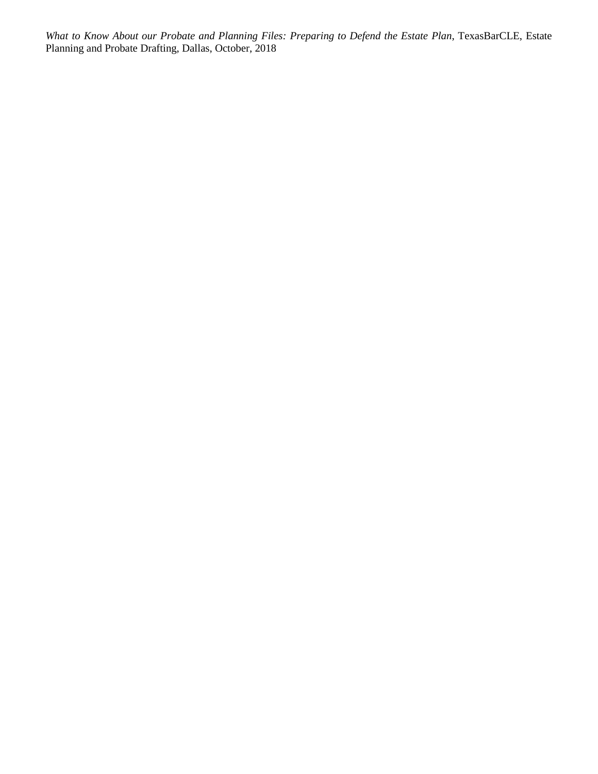*What to Know About our Probate and Planning Files: Preparing to Defend the Estate Plan*, TexasBarCLE, Estate Planning and Probate Drafting, Dallas, October, 2018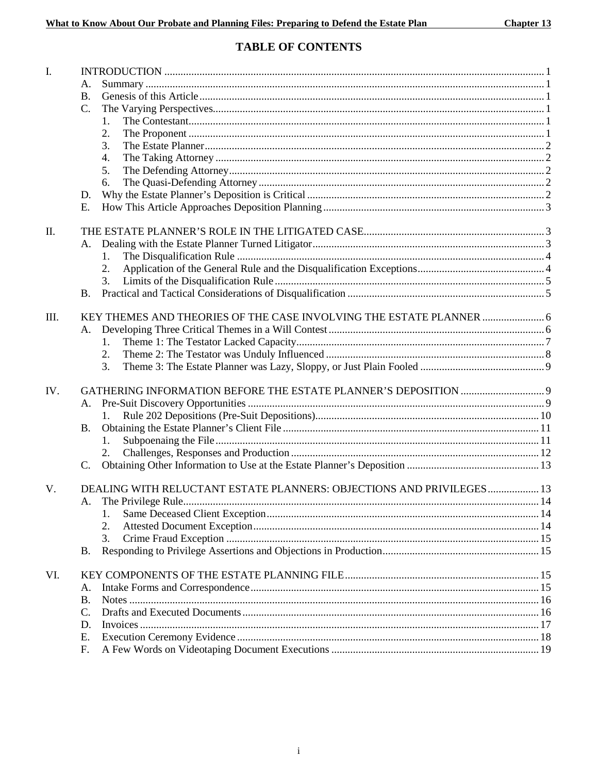## **TABLE OF CONTENTS**

| $\mathbf{I}$ . |                                                                      |  |
|----------------|----------------------------------------------------------------------|--|
|                | А.                                                                   |  |
|                | <b>B.</b>                                                            |  |
|                | C.                                                                   |  |
|                | 1.                                                                   |  |
|                | 2.                                                                   |  |
|                | 3.                                                                   |  |
|                | 4.                                                                   |  |
|                | 5.                                                                   |  |
|                | 6.                                                                   |  |
|                | D.                                                                   |  |
|                | Ε.                                                                   |  |
|                |                                                                      |  |
| Π.             |                                                                      |  |
|                | A.                                                                   |  |
|                | 1.                                                                   |  |
|                | 2.                                                                   |  |
|                |                                                                      |  |
|                | <b>B.</b>                                                            |  |
| III.           | KEY THEMES AND THEORIES OF THE CASE INVOLVING THE ESTATE PLANNER  6  |  |
|                | Α.                                                                   |  |
|                | 1.                                                                   |  |
|                | 2.                                                                   |  |
|                |                                                                      |  |
|                | 3.                                                                   |  |
| IV.            |                                                                      |  |
|                | A.                                                                   |  |
|                |                                                                      |  |
|                | <b>B.</b>                                                            |  |
|                | 1.                                                                   |  |
|                | 2.                                                                   |  |
|                | C.                                                                   |  |
|                |                                                                      |  |
| V.             | DEALING WITH RELUCTANT ESTATE PLANNERS: OBJECTIONS AND PRIVILEGES 13 |  |
|                | A.                                                                   |  |
|                | 1.                                                                   |  |
|                | 2.                                                                   |  |
|                | 3.                                                                   |  |
|                | <b>B.</b>                                                            |  |
| VI.            |                                                                      |  |
|                | А.                                                                   |  |
|                | <b>B.</b>                                                            |  |
|                | $C$ .                                                                |  |
|                | D.                                                                   |  |
|                | Е.                                                                   |  |
|                |                                                                      |  |
|                | F.                                                                   |  |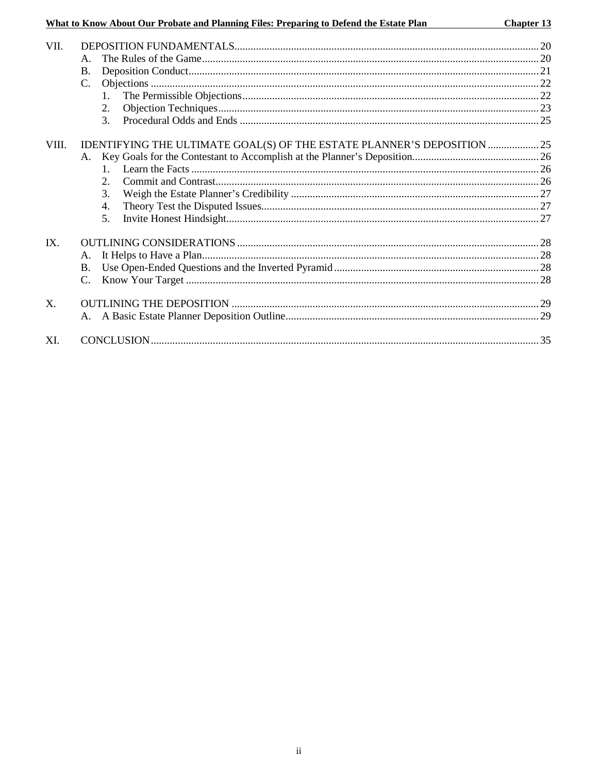## What to Know About Our Probate and Planning Files: Preparing to Defend the Estate Plan

Chapter 13

| VII.           |                                                                         |  |
|----------------|-------------------------------------------------------------------------|--|
|                | A.                                                                      |  |
|                | <b>B.</b>                                                               |  |
|                | $C_{\cdot}$                                                             |  |
|                | $\mathbf{1}$                                                            |  |
|                | 2.                                                                      |  |
|                | 3.                                                                      |  |
| VIII.          | IDENTIFYING THE ULTIMATE GOAL(S) OF THE ESTATE PLANNER'S DEPOSITION  25 |  |
|                |                                                                         |  |
|                | 1                                                                       |  |
|                | $\overline{2}$ .                                                        |  |
|                | 3.                                                                      |  |
|                | 4.                                                                      |  |
|                | 5.                                                                      |  |
| IX.            |                                                                         |  |
|                | A.                                                                      |  |
|                | <b>B.</b>                                                               |  |
|                | $\mathcal{C}$ .                                                         |  |
| X <sub>1</sub> |                                                                         |  |
|                |                                                                         |  |
| XI.            |                                                                         |  |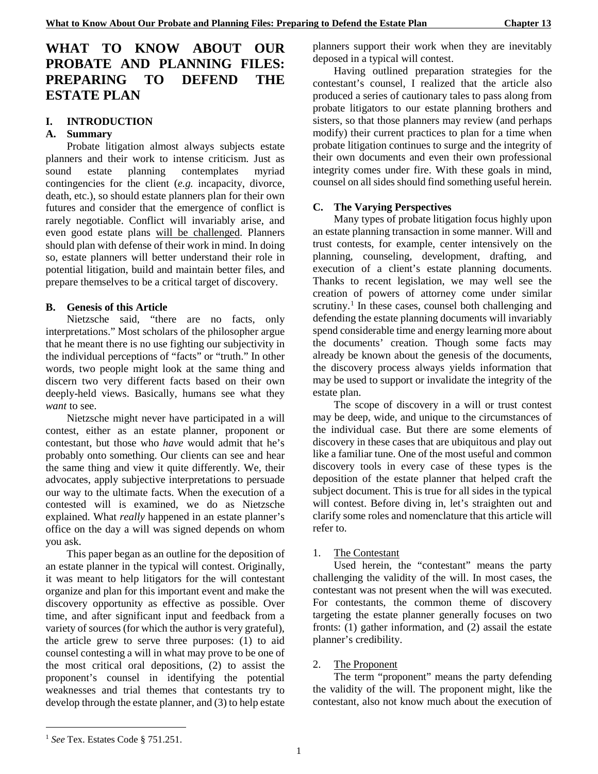## **WHAT TO KNOW ABOUT OUR PROBATE AND PLANNING FILES: PREPARING TO DEFEND THE ESTATE PLAN**

## **I. INTRODUCTION**

## **A. Summary**

Probate litigation almost always subjects estate planners and their work to intense criticism. Just as sound estate planning contemplates myriad contingencies for the client (*e.g.* incapacity, divorce, death, etc.), so should estate planners plan for their own futures and consider that the emergence of conflict is rarely negotiable. Conflict will invariably arise, and even good estate plans will be challenged. Planners should plan with defense of their work in mind. In doing so, estate planners will better understand their role in potential litigation, build and maintain better files, and prepare themselves to be a critical target of discovery.

## **B. Genesis of this Article**

Nietzsche said, "there are no facts, only interpretations." Most scholars of the philosopher argue that he meant there is no use fighting our subjectivity in the individual perceptions of "facts" or "truth." In other words, two people might look at the same thing and discern two very different facts based on their own deeply-held views. Basically, humans see what they *want* to see.

Nietzsche might never have participated in a will contest, either as an estate planner, proponent or contestant, but those who *have* would admit that he's probably onto something. Our clients can see and hear the same thing and view it quite differently. We, their advocates, apply subjective interpretations to persuade our way to the ultimate facts. When the execution of a contested will is examined, we do as Nietzsche explained. What *really* happened in an estate planner's office on the day a will was signed depends on whom you ask.

This paper began as an outline for the deposition of an estate planner in the typical will contest. Originally, it was meant to help litigators for the will contestant organize and plan for this important event and make the discovery opportunity as effective as possible. Over time, and after significant input and feedback from a variety of sources (for which the author is very grateful), the article grew to serve three purposes: (1) to aid counsel contesting a will in what may prove to be one of the most critical oral depositions, (2) to assist the proponent's counsel in identifying the potential weaknesses and trial themes that contestants try to develop through the estate planner, and (3) to help estate

planners support their work when they are inevitably deposed in a typical will contest.

Having outlined preparation strategies for the contestant's counsel, I realized that the article also produced a series of cautionary tales to pass along from probate litigators to our estate planning brothers and sisters, so that those planners may review (and perhaps modify) their current practices to plan for a time when probate litigation continues to surge and the integrity of their own documents and even their own professional integrity comes under fire. With these goals in mind, counsel on all sides should find something useful herein.

## **C. The Varying Perspectives**

Many types of probate litigation focus highly upon an estate planning transaction in some manner. Will and trust contests, for example, center intensively on the planning, counseling, development, drafting, and execution of a client's estate planning documents. Thanks to recent legislation, we may well see the creation of powers of attorney come under similar scrutiny.<sup>[1](#page-8-0)</sup> In these cases, counsel both challenging and defending the estate planning documents will invariably spend considerable time and energy learning more about the documents' creation. Though some facts may already be known about the genesis of the documents, the discovery process always yields information that may be used to support or invalidate the integrity of the estate plan.

The scope of discovery in a will or trust contest may be deep, wide, and unique to the circumstances of the individual case. But there are some elements of discovery in these cases that are ubiquitous and play out like a familiar tune. One of the most useful and common discovery tools in every case of these types is the deposition of the estate planner that helped craft the subject document. This is true for all sides in the typical will contest. Before diving in, let's straighten out and clarify some roles and nomenclature that this article will refer to.

## 1. The Contestant

Used herein, the "contestant" means the party challenging the validity of the will. In most cases, the contestant was not present when the will was executed. For contestants, the common theme of discovery targeting the estate planner generally focuses on two fronts: (1) gather information, and (2) assail the estate planner's credibility.

#### 2. The Proponent

The term "proponent" means the party defending the validity of the will. The proponent might, like the contestant, also not know much about the execution of

-

<span id="page-8-0"></span><sup>1</sup> *See* Tex. Estates Code § 751.251.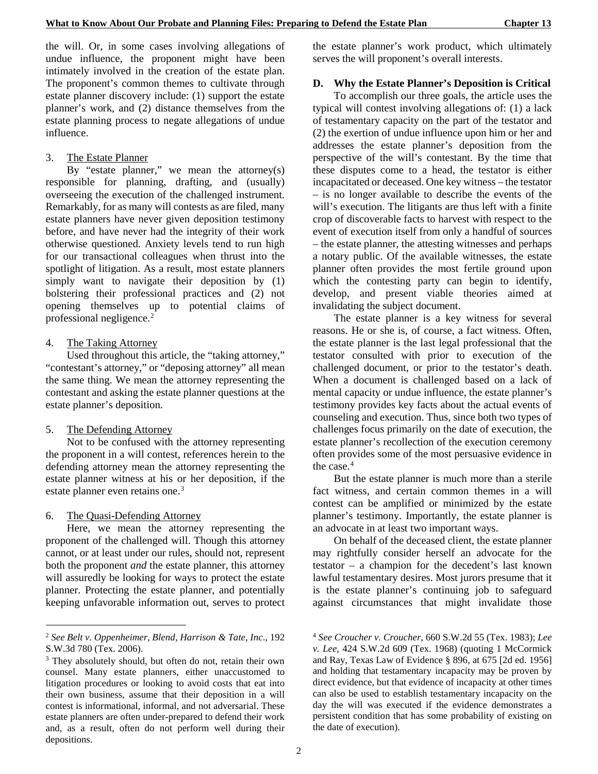the will. Or, in some cases involving allegations of undue influence, the proponent might have been intimately involved in the creation of the estate plan. The proponent's common themes to cultivate through estate planner discovery include: (1) support the estate planner's work, and (2) distance themselves from the estate planning process to negate allegations of undue influence.

#### 3. The Estate Planner

By "estate planner," we mean the attorney(s) responsible for planning, drafting, and (usually) overseeing the execution of the challenged instrument. Remarkably, for as many will contests as are filed, many estate planners have never given deposition testimony before, and have never had the integrity of their work otherwise questioned. Anxiety levels tend to run high for our transactional colleagues when thrust into the spotlight of litigation. As a result, most estate planners simply want to navigate their deposition by (1) bolstering their professional practices and (2) not opening themselves up to potential claims of professional negligence.[2](#page-9-0)

#### 4. The Taking Attorney

Used throughout this article, the "taking attorney," "contestant's attorney," or "deposing attorney" all mean the same thing. We mean the attorney representing the contestant and asking the estate planner questions at the estate planner's deposition.

#### 5. The Defending Attorney

Not to be confused with the attorney representing the proponent in a will contest, references herein to the defending attorney mean the attorney representing the estate planner witness at his or her deposition, if the estate planner even retains one. [3](#page-9-1)

#### 6. The Quasi-Defending Attorney

-

Here, we mean the attorney representing the proponent of the challenged will. Though this attorney cannot, or at least under our rules, should not, represent both the proponent *and* the estate planner, this attorney will assuredly be looking for ways to protect the estate planner. Protecting the estate planner, and potentially keeping unfavorable information out, serves to protect the estate planner's work product, which ultimately serves the will proponent's overall interests.

#### **D. Why the Estate Planner's Deposition is Critical**

To accomplish our three goals, the article uses the typical will contest involving allegations of: (1) a lack of testamentary capacity on the part of the testator and (2) the exertion of undue influence upon him or her and addresses the estate planner's deposition from the perspective of the will's contestant. By the time that these disputes come to a head, the testator is either incapacitated or deceased. One key witness – the testator – is no longer available to describe the events of the will's execution. The litigants are thus left with a finite crop of discoverable facts to harvest with respect to the event of execution itself from only a handful of sources – the estate planner, the attesting witnesses and perhaps a notary public. Of the available witnesses, the estate planner often provides the most fertile ground upon which the contesting party can begin to identify, develop, and present viable theories aimed at invalidating the subject document.

The estate planner is a key witness for several reasons. He or she is, of course, a fact witness. Often, the estate planner is the last legal professional that the testator consulted with prior to execution of the challenged document, or prior to the testator's death. When a document is challenged based on a lack of mental capacity or undue influence, the estate planner's testimony provides key facts about the actual events of counseling and execution. Thus, since both two types of challenges focus primarily on the date of execution, the estate planner's recollection of the execution ceremony often provides some of the most persuasive evidence in the case. $4$ 

But the estate planner is much more than a sterile fact witness, and certain common themes in a will contest can be amplified or minimized by the estate planner's testimony. Importantly, the estate planner is an advocate in at least two important ways.

On behalf of the deceased client, the estate planner may rightfully consider herself an advocate for the testator – a champion for the decedent's last known lawful testamentary desires. Most jurors presume that it is the estate planner's continuing job to safeguard against circumstances that might invalidate those

<span id="page-9-0"></span><sup>2</sup> *See Belt v. Oppenheimer, Blend, Harrison & Tate, Inc*., 192 S.W.3d 780 (Tex. 2006).

<span id="page-9-1"></span><sup>&</sup>lt;sup>3</sup> They absolutely should, but often do not, retain their own counsel. Many estate planners, either unaccustomed to litigation procedures or looking to avoid costs that eat into their own business, assume that their deposition in a will contest is informational, informal, and not adversarial. These estate planners are often under-prepared to defend their work and, as a result, often do not perform well during their depositions.

<sup>4</sup> *See Croucher v. Croucher*, 660 S.W.2d 55 (Tex. 1983); *Lee v. Lee*, 424 S.W.2d 609 (Tex. 1968) (quoting 1 McCormick and Ray, Texas Law of Evidence § 896, at 675 [2d ed. 1956] and holding that testamentary incapacity may be proven by direct evidence, but that evidence of incapacity at other times can also be used to establish testamentary incapacity on the day the will was executed if the evidence demonstrates a persistent condition that has some probability of existing on the date of execution).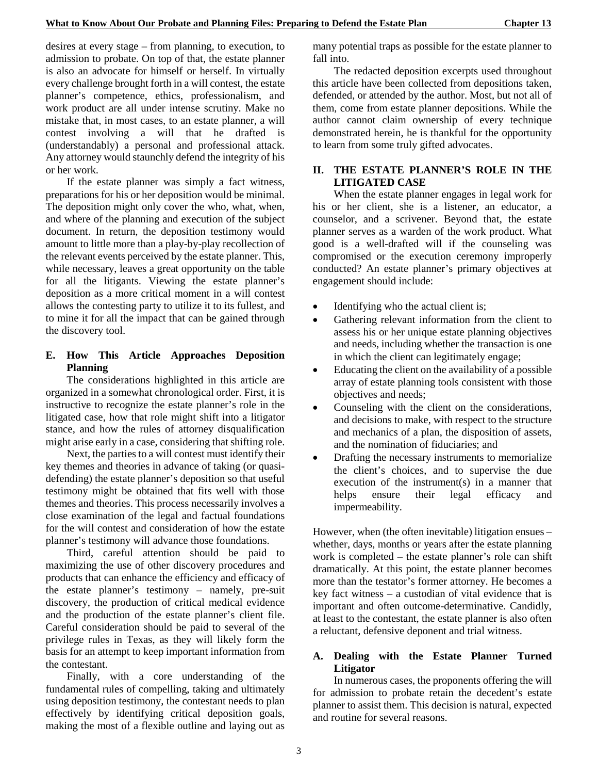desires at every stage – from planning, to execution, to admission to probate. On top of that, the estate planner is also an advocate for himself or herself. In virtually every challenge brought forth in a will contest, the estate planner's competence, ethics, professionalism, and work product are all under intense scrutiny. Make no mistake that, in most cases, to an estate planner, a will contest involving a will that he drafted is (understandably) a personal and professional attack. Any attorney would staunchly defend the integrity of his or her work.

If the estate planner was simply a fact witness, preparations for his or her deposition would be minimal. The deposition might only cover the who, what, when, and where of the planning and execution of the subject document. In return, the deposition testimony would amount to little more than a play-by-play recollection of the relevant events perceived by the estate planner. This, while necessary, leaves a great opportunity on the table for all the litigants. Viewing the estate planner's deposition as a more critical moment in a will contest allows the contesting party to utilize it to its fullest, and to mine it for all the impact that can be gained through the discovery tool.

## **E. How This Article Approaches Deposition Planning**

The considerations highlighted in this article are organized in a somewhat chronological order. First, it is instructive to recognize the estate planner's role in the litigated case, how that role might shift into a litigator stance, and how the rules of attorney disqualification might arise early in a case, considering that shifting role.

Next, the parties to a will contest must identify their key themes and theories in advance of taking (or quasidefending) the estate planner's deposition so that useful testimony might be obtained that fits well with those themes and theories. This process necessarily involves a close examination of the legal and factual foundations for the will contest and consideration of how the estate planner's testimony will advance those foundations.

Third, careful attention should be paid to maximizing the use of other discovery procedures and products that can enhance the efficiency and efficacy of the estate planner's testimony – namely, pre-suit discovery, the production of critical medical evidence and the production of the estate planner's client file. Careful consideration should be paid to several of the privilege rules in Texas, as they will likely form the basis for an attempt to keep important information from the contestant.

Finally, with a core understanding of the fundamental rules of compelling, taking and ultimately using deposition testimony, the contestant needs to plan effectively by identifying critical deposition goals, making the most of a flexible outline and laying out as

many potential traps as possible for the estate planner to fall into.

The redacted deposition excerpts used throughout this article have been collected from depositions taken, defended, or attended by the author. Most, but not all of them, come from estate planner depositions. While the author cannot claim ownership of every technique demonstrated herein, he is thankful for the opportunity to learn from some truly gifted advocates.

## **II. THE ESTATE PLANNER'S ROLE IN THE LITIGATED CASE**

When the estate planner engages in legal work for his or her client, she is a listener, an educator, a counselor, and a scrivener. Beyond that, the estate planner serves as a warden of the work product. What good is a well-drafted will if the counseling was compromised or the execution ceremony improperly conducted? An estate planner's primary objectives at engagement should include:

- Identifying who the actual client is;
- Gathering relevant information from the client to assess his or her unique estate planning objectives and needs, including whether the transaction is one in which the client can legitimately engage;
- Educating the client on the availability of a possible array of estate planning tools consistent with those objectives and needs;
- Counseling with the client on the considerations, and decisions to make, with respect to the structure and mechanics of a plan, the disposition of assets, and the nomination of fiduciaries; and
- Drafting the necessary instruments to memorialize the client's choices, and to supervise the due execution of the instrument(s) in a manner that helps ensure their legal efficacy and impermeability.

However, when (the often inevitable) litigation ensues – whether, days, months or years after the estate planning work is completed – the estate planner's role can shift dramatically. At this point, the estate planner becomes more than the testator's former attorney. He becomes a key fact witness – a custodian of vital evidence that is important and often outcome-determinative. Candidly, at least to the contestant, the estate planner is also often a reluctant, defensive deponent and trial witness.

## **A. Dealing with the Estate Planner Turned Litigator**

In numerous cases, the proponents offering the will for admission to probate retain the decedent's estate planner to assist them. This decision is natural, expected and routine for several reasons.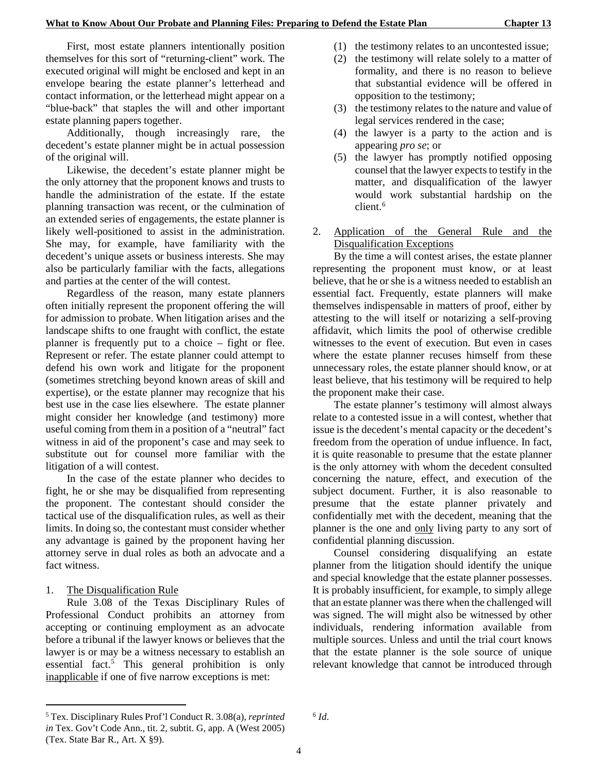First, most estate planners intentionally position themselves for this sort of "returning-client" work. The executed original will might be enclosed and kept in an envelope bearing the estate planner's letterhead and contact information, or the letterhead might appear on a "blue-back" that staples the will and other important estate planning papers together.

Additionally, though increasingly rare, the decedent's estate planner might be in actual possession of the original will.

Likewise, the decedent's estate planner might be the only attorney that the proponent knows and trusts to handle the administration of the estate. If the estate planning transaction was recent, or the culmination of an extended series of engagements, the estate planner is likely well-positioned to assist in the administration. She may, for example, have familiarity with the decedent's unique assets or business interests. She may also be particularly familiar with the facts, allegations and parties at the center of the will contest.

Regardless of the reason, many estate planners often initially represent the proponent offering the will for admission to probate. When litigation arises and the landscape shifts to one fraught with conflict, the estate planner is frequently put to a choice – fight or flee. Represent or refer. The estate planner could attempt to defend his own work and litigate for the proponent (sometimes stretching beyond known areas of skill and expertise), or the estate planner may recognize that his best use in the case lies elsewhere. The estate planner might consider her knowledge (and testimony) more useful coming from them in a position of a "neutral" fact witness in aid of the proponent's case and may seek to substitute out for counsel more familiar with the litigation of a will contest.

In the case of the estate planner who decides to fight, he or she may be disqualified from representing the proponent. The contestant should consider the tactical use of the disqualification rules, as well as their limits. In doing so, the contestant must consider whether any advantage is gained by the proponent having her attorney serve in dual roles as both an advocate and a fact witness.

#### 1. The Disqualification Rule

1

Rule 3.08 of the Texas Disciplinary Rules of Professional Conduct prohibits an attorney from accepting or continuing employment as an advocate before a tribunal if the lawyer knows or believes that the lawyer is or may be a witness necessary to establish an essential fact.[5](#page-11-0) This general prohibition is only inapplicable if one of five narrow exceptions is met:

- (1) the testimony relates to an uncontested issue;
- (2) the testimony will relate solely to a matter of formality, and there is no reason to believe that substantial evidence will be offered in opposition to the testimony;
- (3) the testimony relates to the nature and value of legal services rendered in the case;
- (4) the lawyer is a party to the action and is appearing *pro se*; or
- (5) the lawyer has promptly notified opposing counsel that the lawyer expects to testify in the matter, and disqualification of the lawyer would work substantial hardship on the client.<sup>[6](#page-11-0)</sup>
- 2. Application of the General Rule and the Disqualification Exceptions

By the time a will contest arises, the estate planner representing the proponent must know, or at least believe, that he or she is a witness needed to establish an essential fact. Frequently, estate planners will make themselves indispensable in matters of proof, either by attesting to the will itself or notarizing a self-proving affidavit, which limits the pool of otherwise credible witnesses to the event of execution. But even in cases where the estate planner recuses himself from these unnecessary roles, the estate planner should know, or at least believe, that his testimony will be required to help the proponent make their case.

The estate planner's testimony will almost always relate to a contested issue in a will contest, whether that issue is the decedent's mental capacity or the decedent's freedom from the operation of undue influence. In fact, it is quite reasonable to presume that the estate planner is the only attorney with whom the decedent consulted concerning the nature, effect, and execution of the subject document. Further, it is also reasonable to presume that the estate planner privately and confidentially met with the decedent, meaning that the planner is the one and only living party to any sort of confidential planning discussion.

Counsel considering disqualifying an estate planner from the litigation should identify the unique and special knowledge that the estate planner possesses. It is probably insufficient, for example, to simply allege that an estate planner was there when the challenged will was signed. The will might also be witnessed by other individuals, rendering information available from multiple sources. Unless and until the trial court knows that the estate planner is the sole source of unique relevant knowledge that cannot be introduced through

 $6$   $Id.$ 

<span id="page-11-0"></span><sup>5</sup> Tex. Disciplinary Rules Prof'l Conduct R. 3.08(a), *reprinted in* Tex. Gov't Code Ann., tit. 2, subtit. G, app. A (West 2005) (Tex. State Bar R., Art. X §9).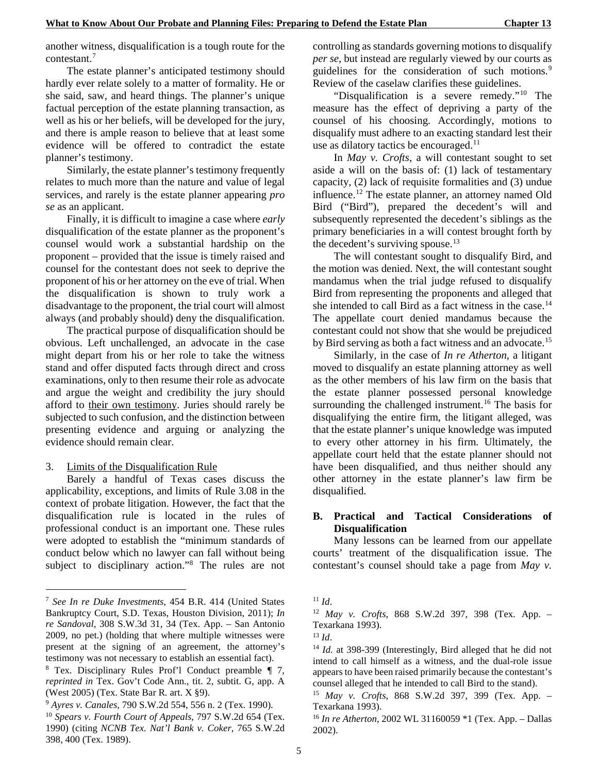another witness, disqualification is a tough route for the contestant.[7](#page-12-0)

The estate planner's anticipated testimony should hardly ever relate solely to a matter of formality. He or she said, saw, and heard things. The planner's unique factual perception of the estate planning transaction, as well as his or her beliefs, will be developed for the jury, and there is ample reason to believe that at least some evidence will be offered to contradict the estate planner's testimony.

Similarly, the estate planner's testimony frequently relates to much more than the nature and value of legal services, and rarely is the estate planner appearing *pro se* as an applicant.

Finally, it is difficult to imagine a case where *early* disqualification of the estate planner as the proponent's counsel would work a substantial hardship on the proponent – provided that the issue is timely raised and counsel for the contestant does not seek to deprive the proponent of his or her attorney on the eve of trial. When the disqualification is shown to truly work a disadvantage to the proponent, the trial court will almost always (and probably should) deny the disqualification.

The practical purpose of disqualification should be obvious. Left unchallenged, an advocate in the case might depart from his or her role to take the witness stand and offer disputed facts through direct and cross examinations, only to then resume their role as advocate and argue the weight and credibility the jury should afford to their own testimony. Juries should rarely be subjected to such confusion, and the distinction between presenting evidence and arguing or analyzing the evidence should remain clear.

3. Limits of the Disqualification Rule

-

Barely a handful of Texas cases discuss the applicability, exceptions, and limits of Rule 3.08 in the context of probate litigation. However, the fact that the disqualification rule is located in the rules of professional conduct is an important one. These rules were adopted to establish the "minimum standards of conduct below which no lawyer can fall without being subject to disciplinary action."<sup>[8](#page-12-1)</sup> The rules are not

controlling as standards governing motions to disqualify *per se*, but instead are regularly viewed by our courts as guidelines for the consideration of such motions.<sup>[9](#page-12-2)</sup> Review of the caselaw clarifies these guidelines.

"Disqualification is a severe remedy."[10](#page-12-3) The measure has the effect of depriving a party of the counsel of his choosing. Accordingly, motions to disqualify must adhere to an exacting standard lest their use as dilatory tactics be encouraged. $11$ 

In *May v. Crofts*, a will contestant sought to set aside a will on the basis of: (1) lack of testamentary capacity, (2) lack of requisite formalities and (3) undue influence.<sup>[12](#page-12-4)</sup> The estate planner, an attorney named Old Bird ("Bird"), prepared the decedent's will and subsequently represented the decedent's siblings as the primary beneficiaries in a will contest brought forth by the decedent's surviving spouse.<sup>[13](#page-12-5)</sup>

The will contestant sought to disqualify Bird, and the motion was denied. Next, the will contestant sought mandamus when the trial judge refused to disqualify Bird from representing the proponents and alleged that she intended to call Bird as a fact witness in the case.<sup>[14](#page-12-6)</sup> The appellate court denied mandamus because the contestant could not show that she would be prejudiced by Bird serving as both a fact witness and an advocate.<sup>[15](#page-12-7)</sup>

Similarly, in the case of *In re Atherton*, a litigant moved to disqualify an estate planning attorney as well as the other members of his law firm on the basis that the estate planner possessed personal knowledge surrounding the challenged instrument.<sup>[16](#page-12-8)</sup> The basis for disqualifying the entire firm, the litigant alleged, was that the estate planner's unique knowledge was imputed to every other attorney in his firm. Ultimately, the appellate court held that the estate planner should not have been disqualified, and thus neither should any other attorney in the estate planner's law firm be disqualified.

## **B. Practical and Tactical Considerations of Disqualification**

Many lessons can be learned from our appellate courts' treatment of the disqualification issue. The contestant's counsel should take a page from *May v.* 

<span id="page-12-4"></span><span id="page-12-0"></span><sup>7</sup> *See In re Duke Investments*, 454 B.R. 414 (United States Bankruptcy Court, S.D. Texas, Houston Division, 2011); *In re Sandoval*, 308 S.W.3d 31, 34 (Tex. App. – San Antonio 2009, no pet.) (holding that where multiple witnesses were present at the signing of an agreement, the attorney's testimony was not necessary to establish an essential fact).

<span id="page-12-6"></span><span id="page-12-5"></span><span id="page-12-1"></span><sup>8</sup> Tex. Disciplinary Rules Prof'l Conduct preamble ¶ 7, *reprinted in* Tex. Gov't Code Ann., tit. 2, subtit. G, app. A (West 2005) (Tex. State Bar R. art. X §9).

<span id="page-12-7"></span><span id="page-12-2"></span><sup>9</sup> *Ayres v. Canales*, 790 S.W.2d 554, 556 n. 2 (Tex. 1990).

<span id="page-12-8"></span><span id="page-12-3"></span><sup>10</sup> *Spears v. Fourth Court of Appeals*, 797 S.W.2d 654 (Tex. 1990) (citing *NCNB Tex. Nat'l Bank v. Coker*, 765 S.W.2d 398, 400 (Tex. 1989).

 $11$  *Id.* 

<sup>12</sup> *May v. Crofts*, 868 S.W.2d 397, 398 (Tex. App. – Texarkana 1993).

<sup>13</sup> *Id*.

<sup>14</sup> *Id.* at 398-399 (Interestingly, Bird alleged that he did not intend to call himself as a witness, and the dual-role issue appears to have been raised primarily because the contestant's counsel alleged that he intended to call Bird to the stand).

<sup>15</sup> *May v. Crofts*, 868 S.W.2d 397, 399 (Tex. App. – Texarkana 1993).

<sup>16</sup> *In re Atherton*, 2002 WL 31160059 \*1 (Tex. App. – Dallas 2002).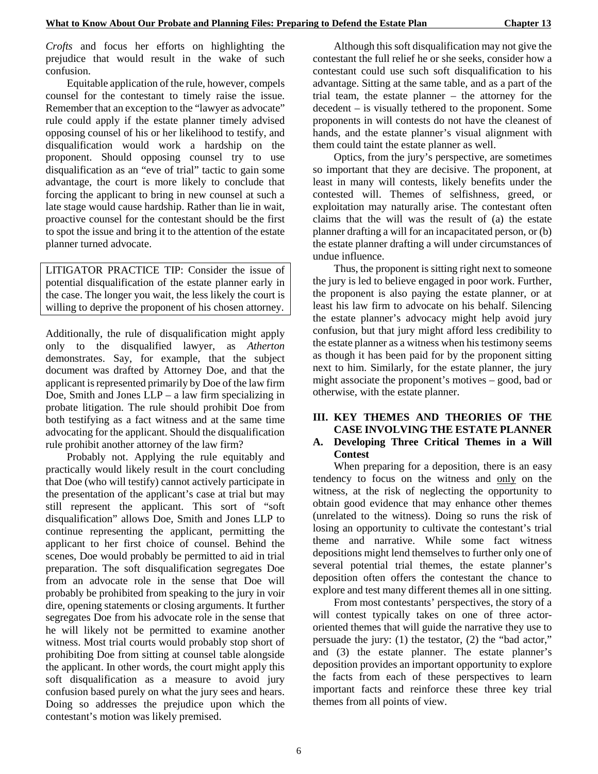*Crofts* and focus her efforts on highlighting the prejudice that would result in the wake of such confusion.

Equitable application of the rule, however, compels counsel for the contestant to timely raise the issue. Remember that an exception to the "lawyer as advocate" rule could apply if the estate planner timely advised opposing counsel of his or her likelihood to testify, and disqualification would work a hardship on the proponent. Should opposing counsel try to use disqualification as an "eve of trial" tactic to gain some advantage, the court is more likely to conclude that forcing the applicant to bring in new counsel at such a late stage would cause hardship. Rather than lie in wait, proactive counsel for the contestant should be the first to spot the issue and bring it to the attention of the estate planner turned advocate.

LITIGATOR PRACTICE TIP: Consider the issue of potential disqualification of the estate planner early in the case. The longer you wait, the less likely the court is willing to deprive the proponent of his chosen attorney.

Additionally, the rule of disqualification might apply only to the disqualified lawyer, as *Atherton* demonstrates. Say, for example, that the subject document was drafted by Attorney Doe, and that the applicant is represented primarily by Doe of the law firm Doe, Smith and Jones  $LLP - a$  law firm specializing in probate litigation. The rule should prohibit Doe from both testifying as a fact witness and at the same time advocating for the applicant. Should the disqualification rule prohibit another attorney of the law firm?

Probably not. Applying the rule equitably and practically would likely result in the court concluding that Doe (who will testify) cannot actively participate in the presentation of the applicant's case at trial but may still represent the applicant. This sort of "soft disqualification" allows Doe, Smith and Jones LLP to continue representing the applicant, permitting the applicant to her first choice of counsel. Behind the scenes, Doe would probably be permitted to aid in trial preparation. The soft disqualification segregates Doe from an advocate role in the sense that Doe will probably be prohibited from speaking to the jury in voir dire, opening statements or closing arguments. It further segregates Doe from his advocate role in the sense that he will likely not be permitted to examine another witness. Most trial courts would probably stop short of prohibiting Doe from sitting at counsel table alongside the applicant. In other words, the court might apply this soft disqualification as a measure to avoid jury confusion based purely on what the jury sees and hears. Doing so addresses the prejudice upon which the contestant's motion was likely premised.

Although this soft disqualification may not give the contestant the full relief he or she seeks, consider how a contestant could use such soft disqualification to his advantage. Sitting at the same table, and as a part of the trial team, the estate planner – the attorney for the decedent – is visually tethered to the proponent. Some proponents in will contests do not have the cleanest of hands, and the estate planner's visual alignment with them could taint the estate planner as well.

Optics, from the jury's perspective, are sometimes so important that they are decisive. The proponent, at least in many will contests, likely benefits under the contested will. Themes of selfishness, greed, or exploitation may naturally arise. The contestant often claims that the will was the result of (a) the estate planner drafting a will for an incapacitated person, or (b) the estate planner drafting a will under circumstances of undue influence.

Thus, the proponent is sitting right next to someone the jury is led to believe engaged in poor work. Further, the proponent is also paying the estate planner, or at least his law firm to advocate on his behalf. Silencing the estate planner's advocacy might help avoid jury confusion, but that jury might afford less credibility to the estate planner as a witness when his testimony seems as though it has been paid for by the proponent sitting next to him. Similarly, for the estate planner, the jury might associate the proponent's motives – good, bad or otherwise, with the estate planner.

## **III. KEY THEMES AND THEORIES OF THE CASE INVOLVING THE ESTATE PLANNER**

## **A. Developing Three Critical Themes in a Will Contest**

When preparing for a deposition, there is an easy tendency to focus on the witness and only on the witness, at the risk of neglecting the opportunity to obtain good evidence that may enhance other themes (unrelated to the witness). Doing so runs the risk of losing an opportunity to cultivate the contestant's trial theme and narrative. While some fact witness depositions might lend themselves to further only one of several potential trial themes, the estate planner's deposition often offers the contestant the chance to explore and test many different themes all in one sitting.

From most contestants' perspectives, the story of a will contest typically takes on one of three actororiented themes that will guide the narrative they use to persuade the jury: (1) the testator, (2) the "bad actor," and (3) the estate planner. The estate planner's deposition provides an important opportunity to explore the facts from each of these perspectives to learn important facts and reinforce these three key trial themes from all points of view.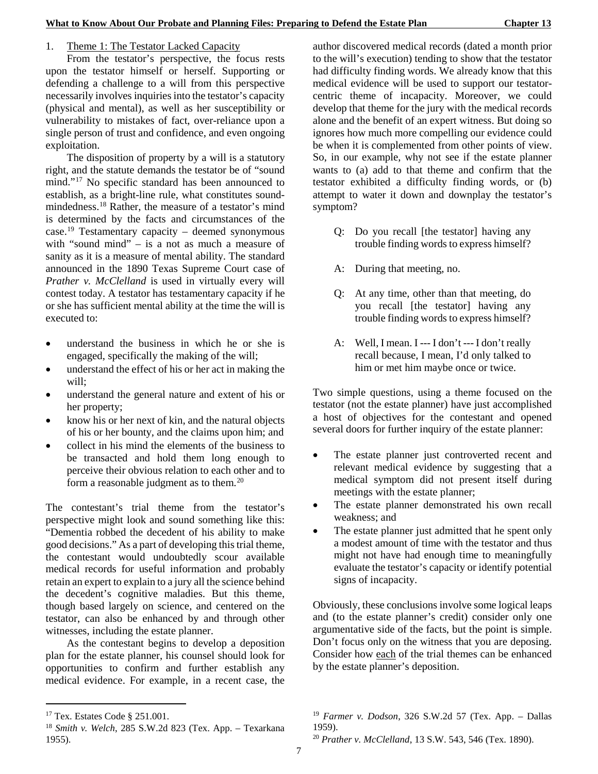## 1. Theme 1: The Testator Lacked Capacity

From the testator's perspective, the focus rests upon the testator himself or herself. Supporting or defending a challenge to a will from this perspective necessarily involves inquiries into the testator's capacity (physical and mental), as well as her susceptibility or vulnerability to mistakes of fact, over-reliance upon a single person of trust and confidence, and even ongoing exploitation.

The disposition of property by a will is a statutory right, and the statute demands the testator be of "sound mind."[17](#page-14-0) No specific standard has been announced to establish, as a bright-line rule, what constitutes soundmindedness.[18](#page-14-1) Rather, the measure of a testator's mind is determined by the facts and circumstances of the case.[19](#page-14-0) Testamentary capacity – deemed synonymous with "sound mind" – is a not as much a measure of sanity as it is a measure of mental ability. The standard announced in the 1890 Texas Supreme Court case of *Prather v. McClelland* is used in virtually every will contest today. A testator has testamentary capacity if he or she has sufficient mental ability at the time the will is executed to:

- understand the business in which he or she is engaged, specifically the making of the will;
- understand the effect of his or her act in making the will;
- understand the general nature and extent of his or her property;
- know his or her next of kin, and the natural objects of his or her bounty, and the claims upon him; and
- collect in his mind the elements of the business to be transacted and hold them long enough to perceive their obvious relation to each other and to form a reasonable judgment as to them.[20](#page-14-2)

The contestant's trial theme from the testator's perspective might look and sound something like this: "Dementia robbed the decedent of his ability to make good decisions." As a part of developing this trial theme, the contestant would undoubtedly scour available medical records for useful information and probably retain an expert to explain to a jury all the science behind the decedent's cognitive maladies. But this theme, though based largely on science, and centered on the testator, can also be enhanced by and through other witnesses, including the estate planner.

As the contestant begins to develop a deposition plan for the estate planner, his counsel should look for opportunities to confirm and further establish any medical evidence. For example, in a recent case, the

-

author discovered medical records (dated a month prior to the will's execution) tending to show that the testator had difficulty finding words. We already know that this medical evidence will be used to support our testatorcentric theme of incapacity. Moreover, we could develop that theme for the jury with the medical records alone and the benefit of an expert witness. But doing so ignores how much more compelling our evidence could be when it is complemented from other points of view. So, in our example, why not see if the estate planner wants to (a) add to that theme and confirm that the testator exhibited a difficulty finding words, or (b) attempt to water it down and downplay the testator's symptom?

- Q: Do you recall [the testator] having any trouble finding words to express himself?
- A: During that meeting, no.
- Q: At any time, other than that meeting, do you recall [the testator] having any trouble finding words to express himself?
- A: Well, I mean. I --- I don't --- I don't really recall because, I mean, I'd only talked to him or met him maybe once or twice.

Two simple questions, using a theme focused on the testator (not the estate planner) have just accomplished a host of objectives for the contestant and opened several doors for further inquiry of the estate planner:

- The estate planner just controverted recent and relevant medical evidence by suggesting that a medical symptom did not present itself during meetings with the estate planner;
- The estate planner demonstrated his own recall weakness; and
- The estate planner just admitted that he spent only a modest amount of time with the testator and thus might not have had enough time to meaningfully evaluate the testator's capacity or identify potential signs of incapacity.

Obviously, these conclusions involve some logical leaps and (to the estate planner's credit) consider only one argumentative side of the facts, but the point is simple. Don't focus only on the witness that you are deposing. Consider how each of the trial themes can be enhanced by the estate planner's deposition.

<span id="page-14-0"></span><sup>17</sup> Tex. Estates Code § 251.001.

<span id="page-14-2"></span><span id="page-14-1"></span><sup>18</sup> *Smith v. Welch*, 285 S.W.2d 823 (Tex. App. – Texarkana 1955).

<sup>19</sup> *Farmer v. Dodson*, 326 S.W.2d 57 (Tex. App. – Dallas 1959).

<sup>20</sup> *Prather v. McClelland*, 13 S.W. 543, 546 (Tex. 1890).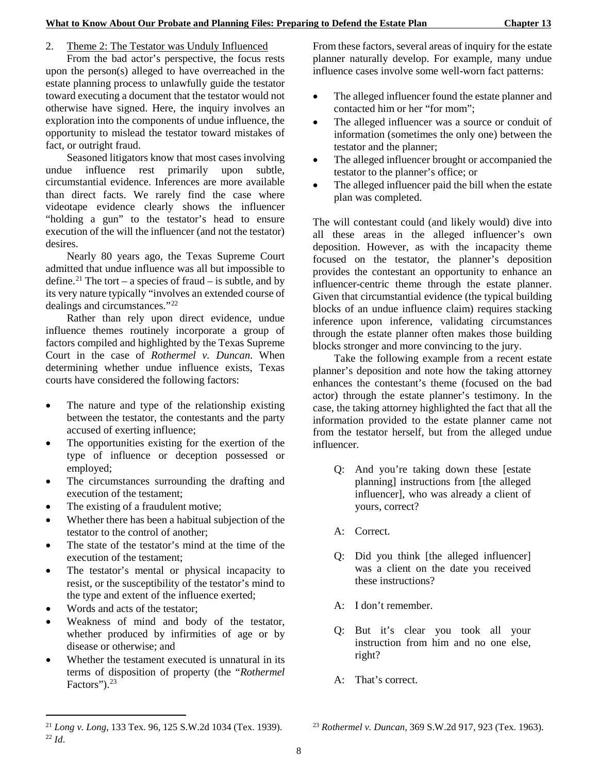## 2. Theme 2: The Testator was Unduly Influenced

From the bad actor's perspective, the focus rests upon the person(s) alleged to have overreached in the estate planning process to unlawfully guide the testator toward executing a document that the testator would not otherwise have signed. Here, the inquiry involves an exploration into the components of undue influence, the opportunity to mislead the testator toward mistakes of fact, or outright fraud.

Seasoned litigators know that most cases involving undue influence rest primarily upon subtle, circumstantial evidence. Inferences are more available than direct facts. We rarely find the case where videotape evidence clearly shows the influencer "holding a gun" to the testator's head to ensure execution of the will the influencer (and not the testator) desires.

Nearly 80 years ago, the Texas Supreme Court admitted that undue influence was all but impossible to define.<sup>[21](#page-15-0)</sup> The tort – a species of fraud – is subtle, and by its very nature typically "involves an extended course of dealings and circumstances."[22](#page-15-1)

Rather than rely upon direct evidence, undue influence themes routinely incorporate a group of factors compiled and highlighted by the Texas Supreme Court in the case of *Rothermel v. Duncan*. When determining whether undue influence exists, Texas courts have considered the following factors:

- The nature and type of the relationship existing between the testator, the contestants and the party accused of exerting influence;
- The opportunities existing for the exertion of the type of influence or deception possessed or employed;
- The circumstances surrounding the drafting and execution of the testament;
- The existing of a fraudulent motive;
- Whether there has been a habitual subjection of the testator to the control of another;
- The state of the testator's mind at the time of the execution of the testament;
- The testator's mental or physical incapacity to resist, or the susceptibility of the testator's mind to the type and extent of the influence exerted;
- Words and acts of the testator;

1

- Weakness of mind and body of the testator, whether produced by infirmities of age or by disease or otherwise; and
- Whether the testament executed is unnatural in its terms of disposition of property (the "*Rothermel* Factors").<sup>[23](#page-15-0)</sup>

From these factors, several areas of inquiry for the estate planner naturally develop. For example, many undue influence cases involve some well-worn fact patterns:

- The alleged influencer found the estate planner and contacted him or her "for mom";
- The alleged influencer was a source or conduit of information (sometimes the only one) between the testator and the planner;
- The alleged influencer brought or accompanied the testator to the planner's office; or
- The alleged influencer paid the bill when the estate plan was completed.

The will contestant could (and likely would) dive into all these areas in the alleged influencer's own deposition. However, as with the incapacity theme focused on the testator, the planner's deposition provides the contestant an opportunity to enhance an influencer-centric theme through the estate planner. Given that circumstantial evidence (the typical building blocks of an undue influence claim) requires stacking inference upon inference, validating circumstances through the estate planner often makes those building blocks stronger and more convincing to the jury.

Take the following example from a recent estate planner's deposition and note how the taking attorney enhances the contestant's theme (focused on the bad actor) through the estate planner's testimony. In the case, the taking attorney highlighted the fact that all the information provided to the estate planner came not from the testator herself, but from the alleged undue influencer.

- Q: And you're taking down these [estate planning] instructions from [the alleged influencer], who was already a client of yours, correct?
- A: Correct.
- Q: Did you think [the alleged influencer] was a client on the date you received these instructions?
- A: I don't remember.
- Q: But it's clear you took all your instruction from him and no one else, right?
- A: That's correct.

<sup>23</sup> *Rothermel v. Duncan*, 369 S.W.2d 917, 923 (Tex. 1963).

<span id="page-15-1"></span><span id="page-15-0"></span><sup>21</sup> *Long v. Long*, 133 Tex. 96, 125 S.W.2d 1034 (Tex. 1939). <sup>22</sup> *Id*.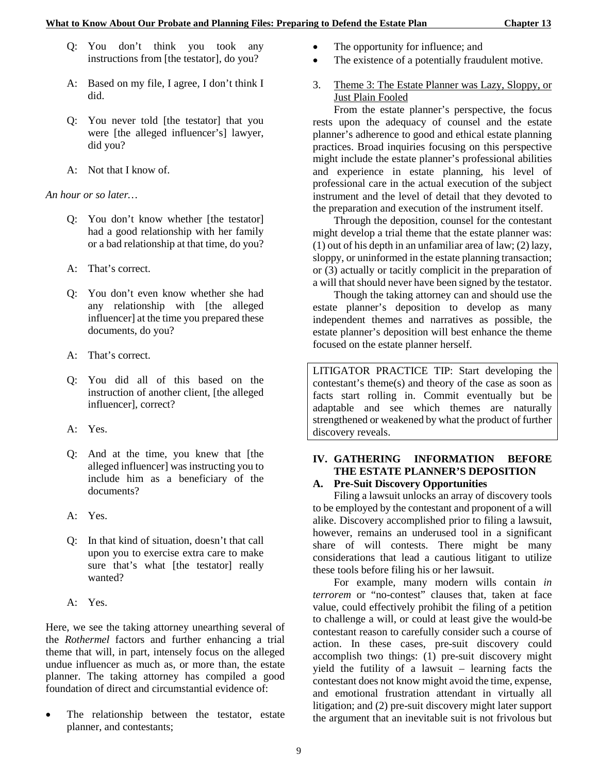- Q: You don't think you took any instructions from [the testator], do you?
- A: Based on my file, I agree, I don't think I did.
- Q: You never told [the testator] that you were [the alleged influencer's] lawyer, did you?
- A: Not that I know of.

*An hour or so later…*

- Q: You don't know whether [the testator] had a good relationship with her family or a bad relationship at that time, do you?
- A: That's correct.
- Q: You don't even know whether she had any relationship with [the alleged influencer] at the time you prepared these documents, do you?
- A: That's correct.
- Q: You did all of this based on the instruction of another client, [the alleged influencer], correct?
- A: Yes.
- Q: And at the time, you knew that [the alleged influencer] was instructing you to include him as a beneficiary of the documents?
- A: Yes.
- Q: In that kind of situation, doesn't that call upon you to exercise extra care to make sure that's what [the testator] really wanted?
- A: Yes.

Here, we see the taking attorney unearthing several of the *Rothermel* factors and further enhancing a trial theme that will, in part, intensely focus on the alleged undue influencer as much as, or more than, the estate planner. The taking attorney has compiled a good foundation of direct and circumstantial evidence of:

The relationship between the testator, estate planner, and contestants;

- The opportunity for influence; and
- The existence of a potentially fraudulent motive.
- 3. Theme 3: The Estate Planner was Lazy, Sloppy, or Just Plain Fooled

From the estate planner's perspective, the focus rests upon the adequacy of counsel and the estate planner's adherence to good and ethical estate planning practices. Broad inquiries focusing on this perspective might include the estate planner's professional abilities and experience in estate planning, his level of professional care in the actual execution of the subject instrument and the level of detail that they devoted to the preparation and execution of the instrument itself.

Through the deposition, counsel for the contestant might develop a trial theme that the estate planner was: (1) out of his depth in an unfamiliar area of law; (2) lazy, sloppy, or uninformed in the estate planning transaction; or (3) actually or tacitly complicit in the preparation of a will that should never have been signed by the testator.

Though the taking attorney can and should use the estate planner's deposition to develop as many independent themes and narratives as possible, the estate planner's deposition will best enhance the theme focused on the estate planner herself.

LITIGATOR PRACTICE TIP: Start developing the contestant's theme(s) and theory of the case as soon as facts start rolling in. Commit eventually but be adaptable and see which themes are naturally strengthened or weakened by what the product of further discovery reveals.

## **IV. GATHERING INFORMATION BEFORE THE ESTATE PLANNER'S DEPOSITION**

## **A. Pre-Suit Discovery Opportunities**

Filing a lawsuit unlocks an array of discovery tools to be employed by the contestant and proponent of a will alike. Discovery accomplished prior to filing a lawsuit, however, remains an underused tool in a significant share of will contests. There might be many considerations that lead a cautious litigant to utilize these tools before filing his or her lawsuit.

For example, many modern wills contain *in terrorem* or "no-contest" clauses that, taken at face value, could effectively prohibit the filing of a petition to challenge a will, or could at least give the would-be contestant reason to carefully consider such a course of action. In these cases, pre-suit discovery could accomplish two things: (1) pre-suit discovery might yield the futility of a lawsuit – learning facts the contestant does not know might avoid the time, expense, and emotional frustration attendant in virtually all litigation; and (2) pre-suit discovery might later support the argument that an inevitable suit is not frivolous but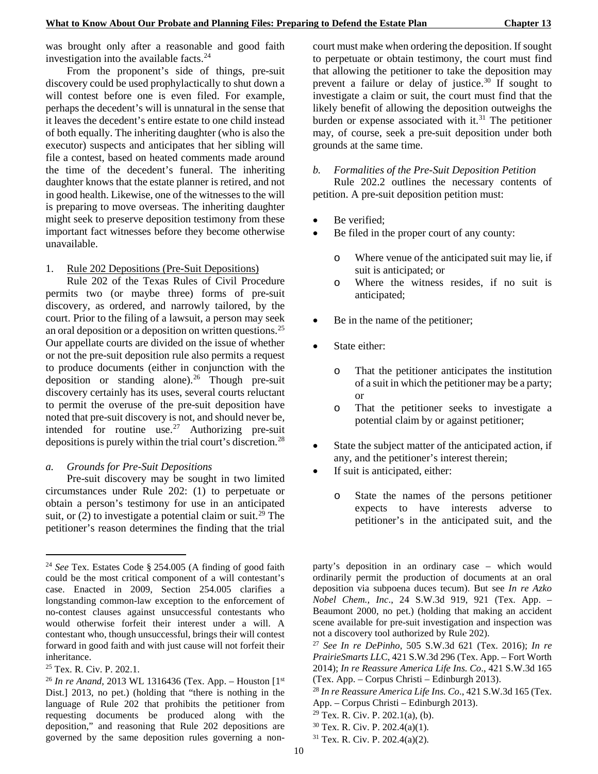was brought only after a reasonable and good faith investigation into the available facts.<sup>[24](#page-17-0)</sup>

From the proponent's side of things, pre-suit discovery could be used prophylactically to shut down a will contest before one is even filed. For example, perhaps the decedent's will is unnatural in the sense that it leaves the decedent's entire estate to one child instead of both equally. The inheriting daughter (who is also the executor) suspects and anticipates that her sibling will file a contest, based on heated comments made around the time of the decedent's funeral. The inheriting daughter knows that the estate planner is retired, and not in good health. Likewise, one of the witnesses to the will is preparing to move overseas. The inheriting daughter might seek to preserve deposition testimony from these important fact witnesses before they become otherwise unavailable.

## 1. Rule 202 Depositions (Pre-Suit Depositions)

Rule 202 of the Texas Rules of Civil Procedure permits two (or maybe three) forms of pre-suit discovery, as ordered, and narrowly tailored, by the court. Prior to the filing of a lawsuit, a person may seek an oral deposition or a deposition on written questions.<sup>[25](#page-17-1)</sup> Our appellate courts are divided on the issue of whether or not the pre-suit deposition rule also permits a request to produce documents (either in conjunction with the deposition or standing alone).<sup>[26](#page-17-2)</sup> Though pre-suit discovery certainly has its uses, several courts reluctant to permit the overuse of the pre-suit deposition have noted that pre-suit discovery is not, and should never be, intended for routine use.[27](#page-17-3) Authorizing pre-suit depositions is purely within the trial court's discretion.<sup>[28](#page-17-4)</sup>

#### *a. Grounds for Pre-Suit Depositions*

Pre-suit discovery may be sought in two limited circumstances under Rule 202: (1) to perpetuate or obtain a person's testimony for use in an anticipated suit, or  $(2)$  to investigate a potential claim or suit.<sup>[29](#page-17-5)</sup> The petitioner's reason determines the finding that the trial

-

court must make when ordering the deposition. If sought to perpetuate or obtain testimony, the court must find that allowing the petitioner to take the deposition may prevent a failure or delay of justice.<sup>[30](#page-17-6)</sup> If sought to investigate a claim or suit, the court must find that the likely benefit of allowing the deposition outweighs the burden or expense associated with it. $31$  The petitioner may, of course, seek a pre-suit deposition under both grounds at the same time.

#### *b. Formalities of the Pre-Suit Deposition Petition*

Rule 202.2 outlines the necessary contents of petition. A pre-suit deposition petition must:

- Be verified;
- Be filed in the proper court of any county:
	- o Where venue of the anticipated suit may lie, if suit is anticipated; or
	- o Where the witness resides, if no suit is anticipated;
- Be in the name of the petitioner;
- State either:
	- o That the petitioner anticipates the institution of a suit in which the petitioner may be a party; or
	- o That the petitioner seeks to investigate a potential claim by or against petitioner;
- State the subject matter of the anticipated action, if any, and the petitioner's interest therein;
- If suit is anticipated, either:
	- o State the names of the persons petitioner expects to have interests adverse to petitioner's in the anticipated suit, and the

- $29$  Tex. R. Civ. P. 202.1(a), (b).
- $30$  Tex. R. Civ. P. 202.4(a)(1).
- <sup>31</sup> Tex. R. Civ. P. 202.4(a)(2).

<span id="page-17-0"></span><sup>24</sup> *See* Tex. Estates Code § 254.005 (A finding of good faith could be the most critical component of a will contestant's case. Enacted in 2009, Section 254.005 clarifies a longstanding common-law exception to the enforcement of no-contest clauses against unsuccessful contestants who would otherwise forfeit their interest under a will. A contestant who, though unsuccessful, brings their will contest forward in good faith and with just cause will not forfeit their inheritance.

<span id="page-17-3"></span><span id="page-17-1"></span><sup>25</sup> Tex. R. Civ. P. 202.1.

<span id="page-17-7"></span><span id="page-17-6"></span><span id="page-17-5"></span><span id="page-17-4"></span><span id="page-17-2"></span><sup>26</sup> *In re Anand*, 2013 WL 1316436 (Tex. App. – Houston [1st Dist.] 2013, no pet.) (holding that "there is nothing in the language of Rule 202 that prohibits the petitioner from requesting documents be produced along with the deposition," and reasoning that Rule 202 depositions are governed by the same deposition rules governing a non-

party's deposition in an ordinary case – which would ordinarily permit the production of documents at an oral deposition via subpoena duces tecum). But see *In re Azko Nobel Chem., Inc*., 24 S.W.3d 919, 921 (Tex. App. – Beaumont 2000, no pet.) (holding that making an accident scene available for pre-suit investigation and inspection was not a discovery tool authorized by Rule 202).

<sup>27</sup> *See In re DePinho*, 505 S.W.3d 621 (Tex. 2016); *In re PrairieSmarts LL*C, 421 S.W.3d 296 (Tex. App. – Fort Worth 2014); *In re Reassure America Life Ins. Co*., 421 S.W.3d 165 (Tex. App. – Corpus Christi – Edinburgh 2013).

<sup>28</sup> *In re Reassure America Life Ins. Co*., 421 S.W.3d 165 (Tex. App. – Corpus Christi – Edinburgh 2013).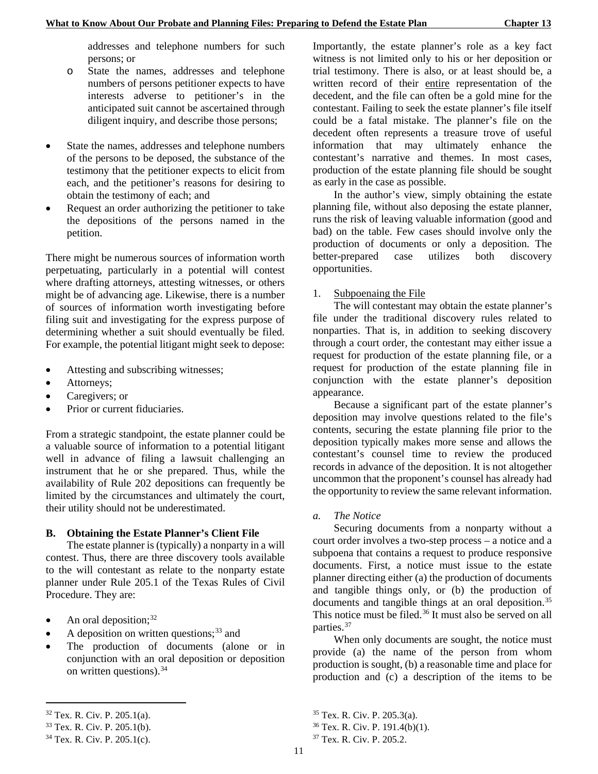addresses and telephone numbers for such persons; or

- o State the names, addresses and telephone numbers of persons petitioner expects to have interests adverse to petitioner's in the anticipated suit cannot be ascertained through diligent inquiry, and describe those persons;
- State the names, addresses and telephone numbers of the persons to be deposed, the substance of the testimony that the petitioner expects to elicit from each, and the petitioner's reasons for desiring to obtain the testimony of each; and
- Request an order authorizing the petitioner to take the depositions of the persons named in the petition.

There might be numerous sources of information worth perpetuating, particularly in a potential will contest where drafting attorneys, attesting witnesses, or others might be of advancing age. Likewise, there is a number of sources of information worth investigating before filing suit and investigating for the express purpose of determining whether a suit should eventually be filed. For example, the potential litigant might seek to depose:

- Attesting and subscribing witnesses;
- Attorneys;
- Caregivers; or
- Prior or current fiduciaries.

From a strategic standpoint, the estate planner could be a valuable source of information to a potential litigant well in advance of filing a lawsuit challenging an instrument that he or she prepared. Thus, while the availability of Rule 202 depositions can frequently be limited by the circumstances and ultimately the court, their utility should not be underestimated.

#### **B. Obtaining the Estate Planner's Client File**

The estate planner is (typically) a nonparty in a will contest. Thus, there are three discovery tools available to the will contestant as relate to the nonparty estate planner under Rule 205.1 of the Texas Rules of Civil Procedure. They are:

- An oral deposition;  $32$
- A deposition on written questions;  $33$  and
- The production of documents (alone or in conjunction with an oral deposition or deposition on written questions).<sup>[34](#page-18-2)</sup>

-

Importantly, the estate planner's role as a key fact witness is not limited only to his or her deposition or trial testimony. There is also, or at least should be, a written record of their entire representation of the decedent, and the file can often be a gold mine for the contestant. Failing to seek the estate planner's file itself could be a fatal mistake. The planner's file on the decedent often represents a treasure trove of useful information that may ultimately enhance the contestant's narrative and themes. In most cases, production of the estate planning file should be sought as early in the case as possible.

In the author's view, simply obtaining the estate planning file, without also deposing the estate planner, runs the risk of leaving valuable information (good and bad) on the table. Few cases should involve only the production of documents or only a deposition. The better-prepared case utilizes both discovery opportunities.

#### 1. Subpoenaing the File

The will contestant may obtain the estate planner's file under the traditional discovery rules related to nonparties. That is, in addition to seeking discovery through a court order, the contestant may either issue a request for production of the estate planning file, or a request for production of the estate planning file in conjunction with the estate planner's deposition appearance.

Because a significant part of the estate planner's deposition may involve questions related to the file's contents, securing the estate planning file prior to the deposition typically makes more sense and allows the contestant's counsel time to review the produced records in advance of the deposition. It is not altogether uncommon that the proponent's counsel has already had the opportunity to review the same relevant information.

#### *a. The Notice*

Securing documents from a nonparty without a court order involves a two-step process – a notice and a subpoena that contains a request to produce responsive documents. First, a notice must issue to the estate planner directing either (a) the production of documents and tangible things only, or (b) the production of documents and tangible things at an oral deposition.<sup>[35](#page-18-0)</sup> This notice must be filed.<sup>[36](#page-18-1)</sup> It must also be served on all parties.<sup>[37](#page-18-2)</sup>

When only documents are sought, the notice must provide (a) the name of the person from whom production is sought, (b) a reasonable time and place for production and (c) a description of the items to be

<span id="page-18-0"></span><sup>32</sup> Tex. R. Civ. P. 205.1(a).

<span id="page-18-1"></span><sup>33</sup> Tex. R. Civ. P. 205.1(b).

<span id="page-18-2"></span><sup>34</sup> Tex. R. Civ. P. 205.1(c).

<sup>35</sup> Tex. R. Civ. P. 205.3(a).

 $36$  Tex. R. Civ. P. 191.4(b)(1).

<sup>37</sup> Tex. R. Civ. P. 205.2.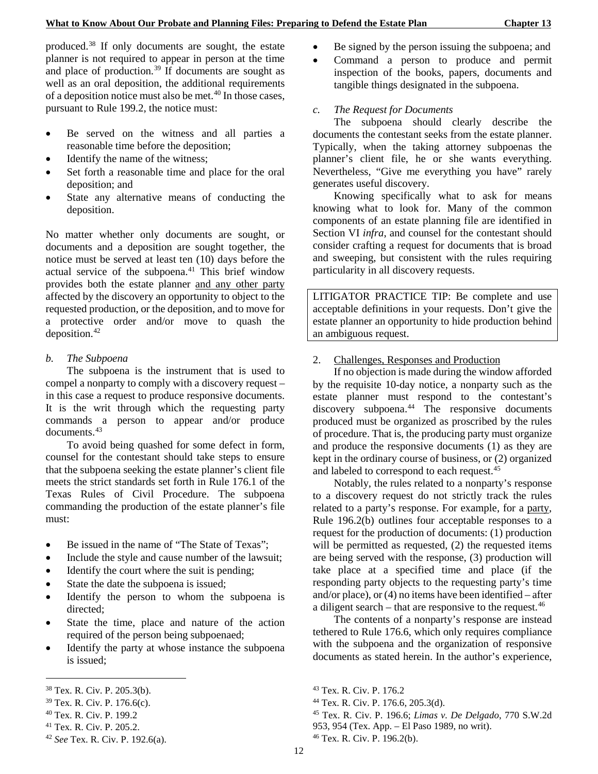produced.[38](#page-19-0) If only documents are sought, the estate planner is not required to appear in person at the time and place of production.<sup>[39](#page-19-1)</sup> If documents are sought as well as an oral deposition, the additional requirements of a deposition notice must also be met. $40$  In those cases, pursuant to Rule 199.2, the notice must:

- Be served on the witness and all parties a reasonable time before the deposition;
- Identify the name of the witness;
- Set forth a reasonable time and place for the oral deposition; and
- State any alternative means of conducting the deposition.

No matter whether only documents are sought, or documents and a deposition are sought together, the notice must be served at least ten (10) days before the actual service of the subpoena.<sup>[41](#page-19-3)</sup> This brief window provides both the estate planner and any other party affected by the discovery an opportunity to object to the requested production, or the deposition, and to move for a protective order and/or move to quash the deposition.<sup>[42](#page-19-4)</sup>

#### *b. The Subpoena*

The subpoena is the instrument that is used to compel a nonparty to comply with a discovery request – in this case a request to produce responsive documents. It is the writ through which the requesting party commands a person to appear and/or produce documents.<sup>[43](#page-19-0)</sup>

To avoid being quashed for some defect in form, counsel for the contestant should take steps to ensure that the subpoena seeking the estate planner's client file meets the strict standards set forth in Rule 176.1 of the Texas Rules of Civil Procedure. The subpoena commanding the production of the estate planner's file must:

- Be issued in the name of "The State of Texas";
- Include the style and cause number of the lawsuit;
- Identify the court where the suit is pending;
- State the date the subpoena is issued;
- Identify the person to whom the subpoena is directed;
- State the time, place and nature of the action required of the person being subpoenaed;
- Identify the party at whose instance the subpoena is issued;

1

- Be signed by the person issuing the subpoena; and
- Command a person to produce and permit inspection of the books, papers, documents and tangible things designated in the subpoena.

## *c. The Request for Documents*

The subpoena should clearly describe the documents the contestant seeks from the estate planner. Typically, when the taking attorney subpoenas the planner's client file, he or she wants everything. Nevertheless, "Give me everything you have" rarely generates useful discovery.

Knowing specifically what to ask for means knowing what to look for. Many of the common components of an estate planning file are identified in Section VI *infra*, and counsel for the contestant should consider crafting a request for documents that is broad and sweeping, but consistent with the rules requiring particularity in all discovery requests.

LITIGATOR PRACTICE TIP: Be complete and use acceptable definitions in your requests. Don't give the estate planner an opportunity to hide production behind an ambiguous request.

## 2. Challenges, Responses and Production

If no objection is made during the window afforded by the requisite 10-day notice, a nonparty such as the estate planner must respond to the contestant's discovery subpoena.<sup>[44](#page-19-1)</sup> The responsive documents produced must be organized as proscribed by the rules of procedure. That is, the producing party must organize and produce the responsive documents (1) as they are kept in the ordinary course of business, or (2) organized and labeled to correspond to each request.<sup>[45](#page-19-2)</sup>

Notably, the rules related to a nonparty's response to a discovery request do not strictly track the rules related to a party's response. For example, for a party, Rule 196.2(b) outlines four acceptable responses to a request for the production of documents: (1) production will be permitted as requested,  $(2)$  the requested items are being served with the response, (3) production will take place at a specified time and place (if the responding party objects to the requesting party's time and/or place), or (4) no items have been identified – after a diligent search – that are responsive to the request. $46$ 

The contents of a nonparty's response are instead tethered to Rule 176.6, which only requires compliance with the subpoena and the organization of responsive documents as stated herein. In the author's experience,

<sup>44</sup> Tex. R. Civ. P. 176.6, 205.3(d).

953, 954 (Tex. App. – El Paso 1989, no writ).

<span id="page-19-0"></span><sup>38</sup> Tex. R. Civ. P. 205.3(b).

<span id="page-19-1"></span><sup>39</sup> Tex. R. Civ. P. 176.6(c).

<span id="page-19-2"></span><sup>40</sup> Tex. R. Civ. P. 199.2

<span id="page-19-3"></span><sup>41</sup> Tex. R. Civ. P. 205.2.

<span id="page-19-5"></span><span id="page-19-4"></span><sup>42</sup> *See* Tex. R. Civ. P. 192.6(a).

<sup>43</sup> Tex. R. Civ. P. 176.2

<sup>45</sup> Tex. R. Civ. P. 196.6; *Limas v. De Delgado*, 770 S.W.2d

<sup>46</sup> Tex. R. Civ. P. 196.2(b).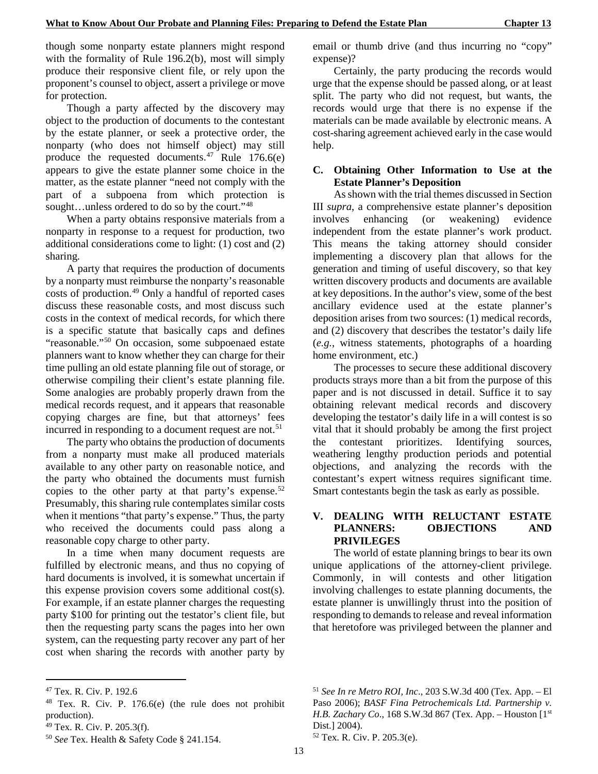though some nonparty estate planners might respond with the formality of Rule 196.2(b), most will simply produce their responsive client file, or rely upon the proponent's counsel to object, assert a privilege or move for protection.

Though a party affected by the discovery may object to the production of documents to the contestant by the estate planner, or seek a protective order, the nonparty (who does not himself object) may still produce the requested documents.<sup>[47](#page-20-0)</sup> Rule  $176.6(e)$ appears to give the estate planner some choice in the matter, as the estate planner "need not comply with the part of a subpoena from which protection is sought...unless ordered to do so by the court."<sup>[48](#page-20-1)</sup>

When a party obtains responsive materials from a nonparty in response to a request for production, two additional considerations come to light: (1) cost and (2) sharing.

A party that requires the production of documents by a nonparty must reimburse the nonparty's reasonable costs of production.<sup>[49](#page-20-2)</sup> Only a handful of reported cases discuss these reasonable costs, and most discuss such costs in the context of medical records, for which there is a specific statute that basically caps and defines "reasonable."[50](#page-20-3) On occasion, some subpoenaed estate planners want to know whether they can charge for their time pulling an old estate planning file out of storage, or otherwise compiling their client's estate planning file. Some analogies are probably properly drawn from the medical records request, and it appears that reasonable copying charges are fine, but that attorneys' fees incurred in responding to a document request are not.<sup>[51](#page-20-0)</sup>

The party who obtains the production of documents from a nonparty must make all produced materials available to any other party on reasonable notice, and the party who obtained the documents must furnish copies to the other party at that party's expense.<sup>[52](#page-20-4)</sup> Presumably, this sharing rule contemplates similar costs when it mentions "that party's expense." Thus, the party who received the documents could pass along a reasonable copy charge to other party.

In a time when many document requests are fulfilled by electronic means, and thus no copying of hard documents is involved, it is somewhat uncertain if this expense provision covers some additional cost(s). For example, if an estate planner charges the requesting party \$100 for printing out the testator's client file, but then the requesting party scans the pages into her own system, can the requesting party recover any part of her cost when sharing the records with another party by

-

email or thumb drive (and thus incurring no "copy" expense)?

Certainly, the party producing the records would urge that the expense should be passed along, or at least split. The party who did not request, but wants, the records would urge that there is no expense if the materials can be made available by electronic means. A cost-sharing agreement achieved early in the case would help.

## **C. Obtaining Other Information to Use at the Estate Planner's Deposition**

As shown with the trial themes discussed in Section III *supra*, a comprehensive estate planner's deposition involves enhancing (or weakening) evidence independent from the estate planner's work product. This means the taking attorney should consider implementing a discovery plan that allows for the generation and timing of useful discovery, so that key written discovery products and documents are available at key depositions. In the author's view, some of the best ancillary evidence used at the estate planner's deposition arises from two sources: (1) medical records, and (2) discovery that describes the testator's daily life (*e.g.*, witness statements, photographs of a hoarding home environment, etc.)

The processes to secure these additional discovery products strays more than a bit from the purpose of this paper and is not discussed in detail. Suffice it to say obtaining relevant medical records and discovery developing the testator's daily life in a will contest is so vital that it should probably be among the first project the contestant prioritizes. Identifying sources, weathering lengthy production periods and potential objections, and analyzing the records with the contestant's expert witness requires significant time. Smart contestants begin the task as early as possible.

#### **V. DEALING WITH RELUCTANT ESTATE PLANNERS: OBJECTIONS AND PRIVILEGES**

The world of estate planning brings to bear its own unique applications of the attorney-client privilege. Commonly, in will contests and other litigation involving challenges to estate planning documents, the estate planner is unwillingly thrust into the position of responding to demands to release and reveal information that heretofore was privileged between the planner and

<sup>52</sup> Tex. R. Civ. P. 205.3(e).

<span id="page-20-0"></span><sup>47</sup> Tex. R. Civ. P. 192.6

<span id="page-20-1"></span><sup>48</sup> Tex. R. Civ. P. 176.6(e) (the rule does not prohibit production).

<span id="page-20-2"></span><sup>49</sup> Tex. R. Civ. P. 205.3(f).

<span id="page-20-4"></span><span id="page-20-3"></span><sup>50</sup> *See* Tex. Health & Safety Code § 241.154.

<sup>51</sup> *See In re Metro ROI, Inc*., 203 S.W.3d 400 (Tex. App. – El Paso 2006); *BASF Fina Petrochemicals Ltd. Partnership v. H.B. Zachary Co*., 168 S.W.3d 867 (Tex. App. – Houston [1st Dist.] 2004).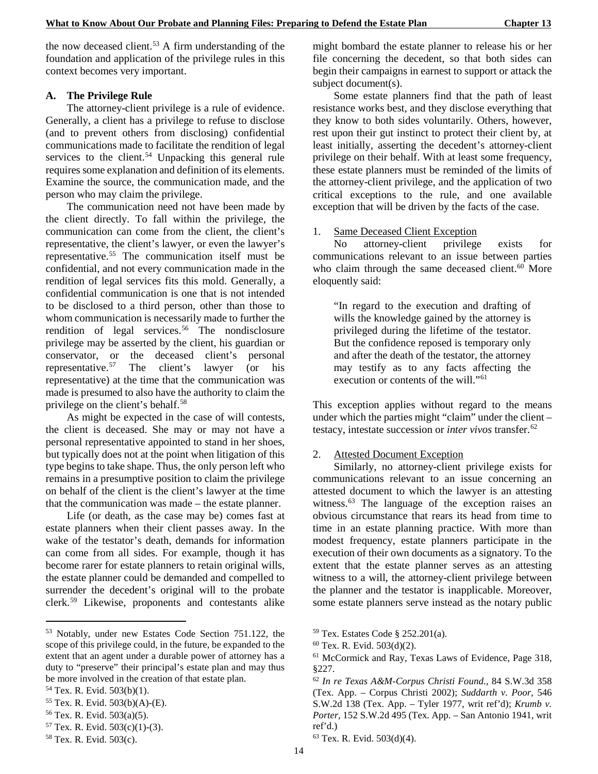the now deceased client.<sup>53</sup> A firm understanding of the foundation and application of the privilege rules in this context becomes very important.

#### **A. The Privilege Rule**

The attorney-client privilege is a rule of evidence. Generally, a client has a privilege to refuse to disclose (and to prevent others from disclosing) confidential communications made to facilitate the rendition of legal services to the client.<sup>[54](#page-21-1)</sup> Unpacking this general rule requires some explanation and definition of its elements. Examine the source, the communication made, and the person who may claim the privilege.

The communication need not have been made by the client directly. To fall within the privilege, the communication can come from the client, the client's representative, the client's lawyer, or even the lawyer's representative.[55](#page-21-2) The communication itself must be confidential, and not every communication made in the rendition of legal services fits this mold. Generally, a confidential communication is one that is not intended to be disclosed to a third person, other than those to whom communication is necessarily made to further the rendition of legal services.<sup>[56](#page-21-3)</sup> The nondisclosure privilege may be asserted by the client, his guardian or conservator, or the deceased client's personal representative.<sup>[57](#page-21-4)</sup> The client's lawyer (or his representative) at the time that the communication was made is presumed to also have the authority to claim the privilege on the client's behalf.<sup>58</sup>

As might be expected in the case of will contests, the client is deceased. She may or may not have a personal representative appointed to stand in her shoes, but typically does not at the point when litigation of this type begins to take shape. Thus, the only person left who remains in a presumptive position to claim the privilege on behalf of the client is the client's lawyer at the time that the communication was made – the estate planner.

Life (or death, as the case may be) comes fast at estate planners when their client passes away. In the wake of the testator's death, demands for information can come from all sides. For example, though it has become rarer for estate planners to retain original wills, the estate planner could be demanded and compelled to surrender the decedent's original will to the probate clerk.[59](#page-21-0) Likewise, proponents and contestants alike

1

might bombard the estate planner to release his or her file concerning the decedent, so that both sides can begin their campaigns in earnest to support or attack the subject document(s).

Some estate planners find that the path of least resistance works best, and they disclose everything that they know to both sides voluntarily. Others, however, rest upon their gut instinct to protect their client by, at least initially, asserting the decedent's attorney-client privilege on their behalf. With at least some frequency, these estate planners must be reminded of the limits of the attorney-client privilege, and the application of two critical exceptions to the rule, and one available exception that will be driven by the facts of the case.

#### 1. Same Deceased Client Exception

No attorney-client privilege exists for communications relevant to an issue between parties who claim through the same deceased client.<sup>[60](#page-21-6)</sup> More eloquently said:

"In regard to the execution and drafting of wills the knowledge gained by the attorney is privileged during the lifetime of the testator. But the confidence reposed is temporary only and after the death of the testator, the attorney may testify as to any facts affecting the execution or contents of the will."<sup>[61](#page-21-7)</sup>

This exception applies without regard to the means under which the parties might "claim" under the client – testacy, intestate succession or *inter vivos* transfer.[62](#page-21-8)

#### 2. Attested Document Exception

Similarly, no attorney-client privilege exists for communications relevant to an issue concerning an attested document to which the lawyer is an attesting witness.<sup>[63](#page-21-9)</sup> The language of the exception raises an obvious circumstance that rears its head from time to time in an estate planning practice. With more than modest frequency, estate planners participate in the execution of their own documents as a signatory. To the extent that the estate planner serves as an attesting witness to a will, the attorney-client privilege between the planner and the testator is inapplicable. Moreover, some estate planners serve instead as the notary public

<span id="page-21-7"></span><span id="page-21-6"></span><span id="page-21-0"></span><sup>53</sup> Notably, under new Estates Code Section 751.122, the scope of this privilege could, in the future, be expanded to the extent that an agent under a durable power of attorney has a duty to "preserve" their principal's estate plan and may thus be more involved in the creation of that estate plan.

<span id="page-21-8"></span><span id="page-21-1"></span><sup>54</sup> Tex. R. Evid. 503(b)(1).

<span id="page-21-2"></span><sup>55</sup> Tex. R. Evid. 503(b)(A)-(E).

<span id="page-21-3"></span><sup>56</sup> Tex. R. Evid. 503(a)(5).

<span id="page-21-4"></span> $57$  Tex. R. Evid.  $503(c)(1)-(3)$ .

<span id="page-21-9"></span><span id="page-21-5"></span><sup>58</sup> Tex. R. Evid. 503(c).

<sup>59</sup> Tex. Estates Code § 252.201(a).

<sup>60</sup> Tex. R. Evid. 503(d)(2).

<sup>61</sup> McCormick and Ray, Texas Laws of Evidence, Page 318, §227.

<sup>62</sup> *In re Texas A&M-Corpus Christi Found*., 84 S.W.3d 358 (Tex. App. – Corpus Christi 2002); *Suddarth v. Poor*, 546 S.W.2d 138 (Tex. App. – Tyler 1977, writ ref'd); *Krumb v. Porter*, 152 S.W.2d 495 (Tex. App. – San Antonio 1941, writ ref'd.)

 $63$  Tex. R. Evid.  $503(d)(4)$ .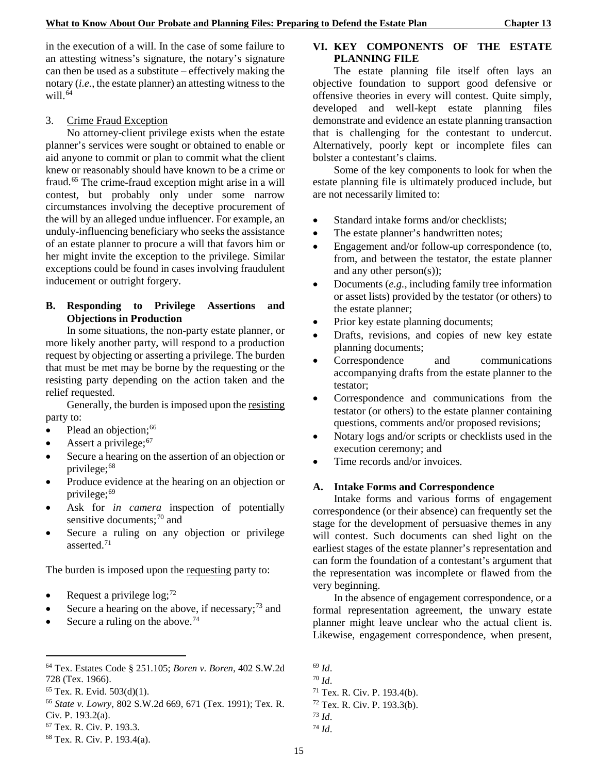in the execution of a will. In the case of some failure to an attesting witness's signature, the notary's signature can then be used as a substitute – effectively making the notary (*i.e.*, the estate planner) an attesting witness to the will. $64$ 

#### 3. Crime Fraud Exception

No attorney-client privilege exists when the estate planner's services were sought or obtained to enable or aid anyone to commit or plan to commit what the client knew or reasonably should have known to be a crime or fraud.[65](#page-22-1) The crime-fraud exception might arise in a will contest, but probably only under some narrow circumstances involving the deceptive procurement of the will by an alleged undue influencer. For example, an unduly-influencing beneficiary who seeks the assistance of an estate planner to procure a will that favors him or her might invite the exception to the privilege. Similar exceptions could be found in cases involving fraudulent inducement or outright forgery.

### **B. Responding to Privilege Assertions and Objections in Production**

In some situations, the non-party estate planner, or more likely another party, will respond to a production request by objecting or asserting a privilege. The burden that must be met may be borne by the requesting or the resisting party depending on the action taken and the relief requested.

Generally, the burden is imposed upon the resisting party to:

- Plead an objection; $66$
- Assert a privilege;<sup>[67](#page-22-3)</sup>
- Secure a hearing on the assertion of an objection or privilege; [68](#page-22-4)
- Produce evidence at the hearing on an objection or privilege; [69](#page-22-0)
- Ask for *in camera* inspection of potentially sensitive documents;<sup>[70](#page-22-5)</sup> and
- Secure a ruling on any objection or privilege asserted. [71](#page-22-6)

The burden is imposed upon the requesting party to:

- Request a privilege  $log_7$ <sup>[72](#page-22-7)</sup>
- Secure a hearing on the above, if necessary;<sup>[73](#page-22-8)</sup> and
- Secure a ruling on the above.<sup>[74](#page-22-9)</sup>

-

#### **VI. KEY COMPONENTS OF THE ESTATE PLANNING FILE**

The estate planning file itself often lays an objective foundation to support good defensive or offensive theories in every will contest. Quite simply, developed and well-kept estate planning files demonstrate and evidence an estate planning transaction that is challenging for the contestant to undercut. Alternatively, poorly kept or incomplete files can bolster a contestant's claims.

Some of the key components to look for when the estate planning file is ultimately produced include, but are not necessarily limited to:

- Standard intake forms and/or checklists;
- The estate planner's handwritten notes;
- Engagement and/or follow-up correspondence (to, from, and between the testator, the estate planner and any other person(s));
- Documents (*e.g.*, including family tree information or asset lists) provided by the testator (or others) to the estate planner;
- Prior key estate planning documents;
- Drafts, revisions, and copies of new key estate planning documents;
- Correspondence and communications accompanying drafts from the estate planner to the testator;
- Correspondence and communications from the testator (or others) to the estate planner containing questions, comments and/or proposed revisions;
- Notary logs and/or scripts or checklists used in the execution ceremony; and
- Time records and/or invoices.

#### **A. Intake Forms and Correspondence**

Intake forms and various forms of engagement correspondence (or their absence) can frequently set the stage for the development of persuasive themes in any will contest. Such documents can shed light on the earliest stages of the estate planner's representation and can form the foundation of a contestant's argument that the representation was incomplete or flawed from the very beginning.

In the absence of engagement correspondence, or a formal representation agreement, the unwary estate planner might leave unclear who the actual client is. Likewise, engagement correspondence, when present,

<sup>74</sup> *Id*.

<span id="page-22-5"></span><span id="page-22-0"></span><sup>64</sup> Tex. Estates Code § 251.105; *Boren v. Boren*, 402 S.W.2d 728 (Tex. 1966).

<span id="page-22-6"></span><span id="page-22-1"></span> $65$  Tex. R. Evid.  $503(d)(1)$ .

<span id="page-22-7"></span><span id="page-22-2"></span><sup>66</sup> *State v. Lowry*, 802 S.W.2d 669, 671 (Tex. 1991); Tex. R. Civ. P. 193.2(a).

<span id="page-22-9"></span><span id="page-22-8"></span><span id="page-22-3"></span><sup>67</sup> Tex. R. Civ. P. 193.3.

<span id="page-22-4"></span><sup>68</sup> Tex. R. Civ. P. 193.4(a).

<sup>69</sup> *Id*.

<sup>70</sup> *Id*.

<sup>71</sup> Tex. R. Civ. P. 193.4(b). <sup>72</sup> Tex. R. Civ. P. 193.3(b).

<sup>73</sup> *Id*.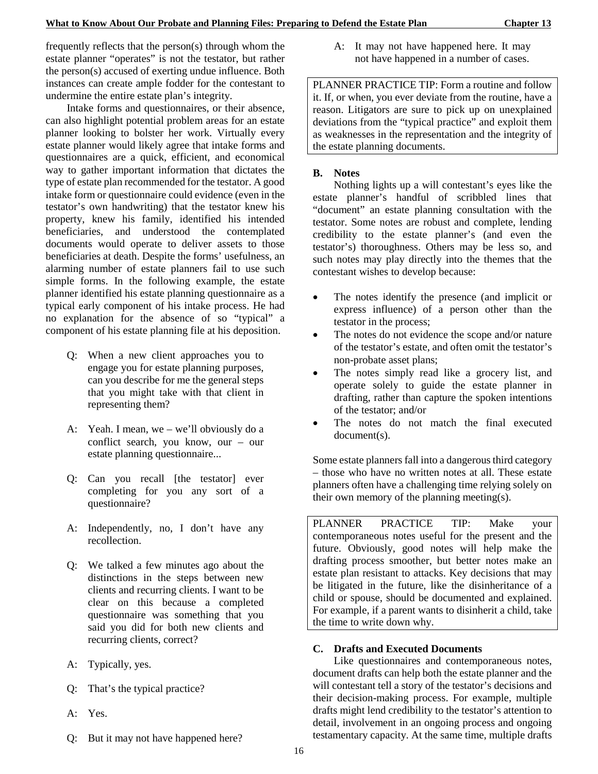frequently reflects that the person(s) through whom the estate planner "operates" is not the testator, but rather the person(s) accused of exerting undue influence. Both instances can create ample fodder for the contestant to undermine the entire estate plan's integrity.

Intake forms and questionnaires, or their absence, can also highlight potential problem areas for an estate planner looking to bolster her work. Virtually every estate planner would likely agree that intake forms and questionnaires are a quick, efficient, and economical way to gather important information that dictates the type of estate plan recommended for the testator. A good intake form or questionnaire could evidence (even in the testator's own handwriting) that the testator knew his property, knew his family, identified his intended beneficiaries, and understood the contemplated documents would operate to deliver assets to those beneficiaries at death. Despite the forms' usefulness, an alarming number of estate planners fail to use such simple forms. In the following example, the estate planner identified his estate planning questionnaire as a typical early component of his intake process. He had no explanation for the absence of so "typical" a component of his estate planning file at his deposition.

- Q: When a new client approaches you to engage you for estate planning purposes, can you describe for me the general steps that you might take with that client in representing them?
- A: Yeah. I mean, we we'll obviously do a conflict search, you know, our – our estate planning questionnaire...
- Q: Can you recall [the testator] ever completing for you any sort of a questionnaire?
- A: Independently, no, I don't have any recollection.
- Q: We talked a few minutes ago about the distinctions in the steps between new clients and recurring clients. I want to be clear on this because a completed questionnaire was something that you said you did for both new clients and recurring clients, correct?
- A: Typically, yes.
- Q: That's the typical practice?
- A: Yes.
- Q: But it may not have happened here?

A: It may not have happened here. It may not have happened in a number of cases.

PLANNER PRACTICE TIP: Form a routine and follow it. If, or when, you ever deviate from the routine, have a reason. Litigators are sure to pick up on unexplained deviations from the "typical practice" and exploit them as weaknesses in the representation and the integrity of the estate planning documents.

## **B. Notes**

Nothing lights up a will contestant's eyes like the estate planner's handful of scribbled lines that "document" an estate planning consultation with the testator. Some notes are robust and complete, lending credibility to the estate planner's (and even the testator's) thoroughness. Others may be less so, and such notes may play directly into the themes that the contestant wishes to develop because:

- The notes identify the presence (and implicit or express influence) of a person other than the testator in the process;
- The notes do not evidence the scope and/or nature of the testator's estate, and often omit the testator's non-probate asset plans;
- The notes simply read like a grocery list, and operate solely to guide the estate planner in drafting, rather than capture the spoken intentions of the testator; and/or
- The notes do not match the final executed document(s).

Some estate planners fall into a dangerous third category – those who have no written notes at all. These estate planners often have a challenging time relying solely on their own memory of the planning meeting(s).

PLANNER PRACTICE TIP: Make your contemporaneous notes useful for the present and the future. Obviously, good notes will help make the drafting process smoother, but better notes make an estate plan resistant to attacks. Key decisions that may be litigated in the future, like the disinheritance of a child or spouse, should be documented and explained. For example, if a parent wants to disinherit a child, take the time to write down why.

## **C. Drafts and Executed Documents**

Like questionnaires and contemporaneous notes, document drafts can help both the estate planner and the will contestant tell a story of the testator's decisions and their decision-making process. For example, multiple drafts might lend credibility to the testator's attention to detail, involvement in an ongoing process and ongoing testamentary capacity. At the same time, multiple drafts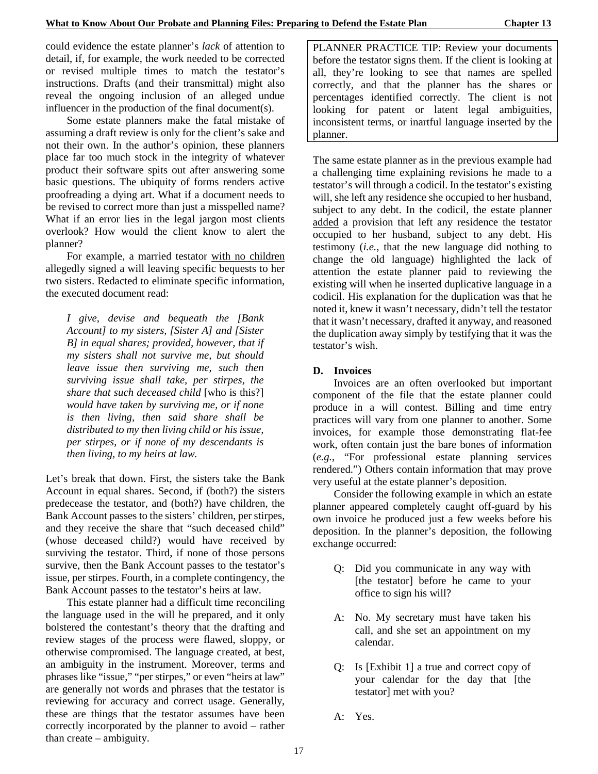could evidence the estate planner's *lack* of attention to detail, if, for example, the work needed to be corrected or revised multiple times to match the testator's instructions. Drafts (and their transmittal) might also reveal the ongoing inclusion of an alleged undue influencer in the production of the final document(s).

Some estate planners make the fatal mistake of assuming a draft review is only for the client's sake and not their own. In the author's opinion, these planners place far too much stock in the integrity of whatever product their software spits out after answering some basic questions. The ubiquity of forms renders active proofreading a dying art. What if a document needs to be revised to correct more than just a misspelled name? What if an error lies in the legal jargon most clients overlook? How would the client know to alert the planner?

For example, a married testator with no children allegedly signed a will leaving specific bequests to her two sisters. Redacted to eliminate specific information, the executed document read:

*I give, devise and bequeath the [Bank Account] to my sisters, [Sister A] and [Sister B] in equal shares; provided, however, that if my sisters shall not survive me, but should leave issue then surviving me, such then surviving issue shall take, per stirpes, the share that such deceased child* [who is this?] *would have taken by surviving me, or if none is then living, then said share shall be distributed to my then living child or his issue, per stirpes, or if none of my descendants is then living, to my heirs at law.*

Let's break that down. First, the sisters take the Bank Account in equal shares. Second, if (both?) the sisters predecease the testator, and (both?) have children, the Bank Account passes to the sisters' children, per stirpes, and they receive the share that "such deceased child" (whose deceased child?) would have received by surviving the testator. Third, if none of those persons survive, then the Bank Account passes to the testator's issue, per stirpes. Fourth, in a complete contingency, the Bank Account passes to the testator's heirs at law.

This estate planner had a difficult time reconciling the language used in the will he prepared, and it only bolstered the contestant's theory that the drafting and review stages of the process were flawed, sloppy, or otherwise compromised. The language created, at best, an ambiguity in the instrument. Moreover, terms and phrases like "issue," "per stirpes," or even "heirs at law" are generally not words and phrases that the testator is reviewing for accuracy and correct usage. Generally, these are things that the testator assumes have been correctly incorporated by the planner to avoid – rather than create – ambiguity.

PLANNER PRACTICE TIP: Review your documents before the testator signs them. If the client is looking at all, they're looking to see that names are spelled correctly, and that the planner has the shares or percentages identified correctly. The client is not looking for patent or latent legal ambiguities, inconsistent terms, or inartful language inserted by the planner.

The same estate planner as in the previous example had a challenging time explaining revisions he made to a testator's will through a codicil. In the testator's existing will, she left any residence she occupied to her husband, subject to any debt. In the codicil, the estate planner added a provision that left any residence the testator occupied to her husband, subject to any debt. His testimony (*i.e.*, that the new language did nothing to change the old language) highlighted the lack of attention the estate planner paid to reviewing the existing will when he inserted duplicative language in a codicil. His explanation for the duplication was that he noted it, knew it wasn't necessary, didn't tell the testator that it wasn't necessary, drafted it anyway, and reasoned the duplication away simply by testifying that it was the testator's wish.

#### **D. Invoices**

Invoices are an often overlooked but important component of the file that the estate planner could produce in a will contest. Billing and time entry practices will vary from one planner to another. Some invoices, for example those demonstrating flat-fee work, often contain just the bare bones of information (*e.g.*, "For professional estate planning services rendered.") Others contain information that may prove very useful at the estate planner's deposition.

Consider the following example in which an estate planner appeared completely caught off-guard by his own invoice he produced just a few weeks before his deposition. In the planner's deposition, the following exchange occurred:

- Q: Did you communicate in any way with [the testator] before he came to your office to sign his will?
- A: No. My secretary must have taken his call, and she set an appointment on my calendar.
- Q: Is [Exhibit 1] a true and correct copy of your calendar for the day that [the testator] met with you?
- A: Yes.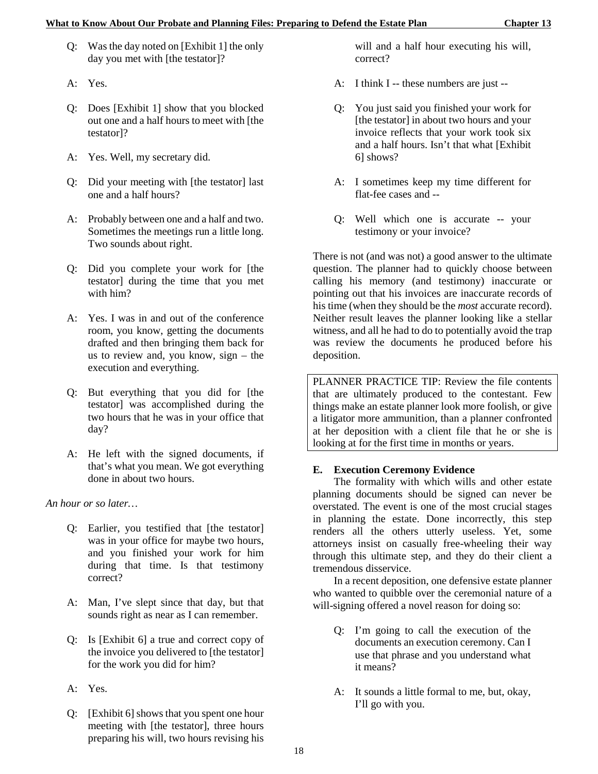- Q: Was the day noted on [Exhibit 1] the only day you met with [the testator]?
- A: Yes.
- Q: Does [Exhibit 1] show that you blocked out one and a half hours to meet with [the testator]?
- A: Yes. Well, my secretary did.
- Q: Did your meeting with [the testator] last one and a half hours?
- A: Probably between one and a half and two. Sometimes the meetings run a little long. Two sounds about right.
- Q: Did you complete your work for [the testator] during the time that you met with him?
- A: Yes. I was in and out of the conference room, you know, getting the documents drafted and then bringing them back for us to review and, you know, sign – the execution and everything.
- Q: But everything that you did for [the testator] was accomplished during the two hours that he was in your office that day?
- A: He left with the signed documents, if that's what you mean. We got everything done in about two hours.

*An hour or so later…*

- Q: Earlier, you testified that [the testator] was in your office for maybe two hours, and you finished your work for him during that time. Is that testimony correct?
- A: Man, I've slept since that day, but that sounds right as near as I can remember.
- Q: Is [Exhibit 6] a true and correct copy of the invoice you delivered to [the testator] for the work you did for him?
- A: Yes.
- Q: [Exhibit 6] shows that you spent one hour meeting with [the testator], three hours preparing his will, two hours revising his

will and a half hour executing his will, correct?

- A: I think I -- these numbers are just --
- Q: You just said you finished your work for [the testator] in about two hours and your invoice reflects that your work took six and a half hours. Isn't that what [Exhibit 6] shows?
- A: I sometimes keep my time different for flat-fee cases and --
- Q: Well which one is accurate -- your testimony or your invoice?

There is not (and was not) a good answer to the ultimate question. The planner had to quickly choose between calling his memory (and testimony) inaccurate or pointing out that his invoices are inaccurate records of his time (when they should be the *most* accurate record). Neither result leaves the planner looking like a stellar witness, and all he had to do to potentially avoid the trap was review the documents he produced before his deposition.

PLANNER PRACTICE TIP: Review the file contents that are ultimately produced to the contestant. Few things make an estate planner look more foolish, or give a litigator more ammunition, than a planner confronted at her deposition with a client file that he or she is looking at for the first time in months or years.

## **E. Execution Ceremony Evidence**

The formality with which wills and other estate planning documents should be signed can never be overstated. The event is one of the most crucial stages in planning the estate. Done incorrectly, this step renders all the others utterly useless. Yet, some attorneys insist on casually free-wheeling their way through this ultimate step, and they do their client a tremendous disservice.

In a recent deposition, one defensive estate planner who wanted to quibble over the ceremonial nature of a will-signing offered a novel reason for doing so:

- Q: I'm going to call the execution of the documents an execution ceremony. Can I use that phrase and you understand what it means?
- A: It sounds a little formal to me, but, okay, I'll go with you.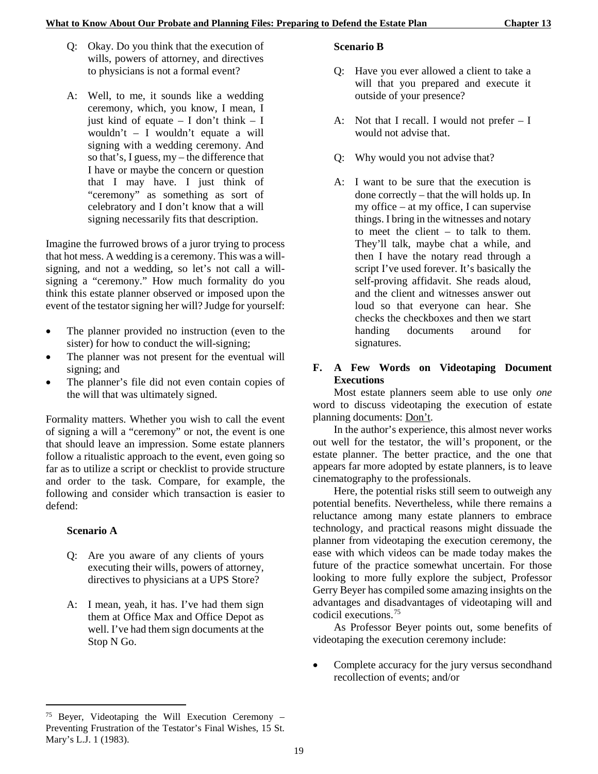- Q: Okay. Do you think that the execution of wills, powers of attorney, and directives to physicians is not a formal event?
- A: Well, to me, it sounds like a wedding ceremony, which, you know, I mean, I just kind of equate – I don't think – I wouldn't – I wouldn't equate a will signing with a wedding ceremony. And so that's, I guess, my – the difference that I have or maybe the concern or question that I may have. I just think of "ceremony" as something as sort of celebratory and I don't know that a will signing necessarily fits that description.

Imagine the furrowed brows of a juror trying to process that hot mess. A wedding is a ceremony. This was a willsigning, and not a wedding, so let's not call a willsigning a "ceremony." How much formality do you think this estate planner observed or imposed upon the event of the testator signing her will? Judge for yourself:

- The planner provided no instruction (even to the sister) for how to conduct the will-signing;
- The planner was not present for the eventual will signing; and
- The planner's file did not even contain copies of the will that was ultimately signed.

Formality matters. Whether you wish to call the event of signing a will a "ceremony" or not, the event is one that should leave an impression. Some estate planners follow a ritualistic approach to the event, even going so far as to utilize a script or checklist to provide structure and order to the task. Compare, for example, the following and consider which transaction is easier to defend:

## **Scenario A**

1

- Q: Are you aware of any clients of yours executing their wills, powers of attorney, directives to physicians at a UPS Store?
- A: I mean, yeah, it has. I've had them sign them at Office Max and Office Depot as well. I've had them sign documents at the Stop N Go.

## **Scenario B**

- Q: Have you ever allowed a client to take a will that you prepared and execute it outside of your presence?
- A: Not that I recall. I would not prefer I would not advise that.
- Q: Why would you not advise that?
- A: I want to be sure that the execution is done correctly – that the will holds up. In my office – at my office, I can supervise things. I bring in the witnesses and notary to meet the client – to talk to them. They'll talk, maybe chat a while, and then I have the notary read through a script I've used forever. It's basically the self-proving affidavit. She reads aloud, and the client and witnesses answer out loud so that everyone can hear. She checks the checkboxes and then we start handing documents around for signatures.

## **F. A Few Words on Videotaping Document Executions**

Most estate planners seem able to use only *one* word to discuss videotaping the execution of estate planning documents: Don't.

In the author's experience, this almost never works out well for the testator, the will's proponent, or the estate planner. The better practice, and the one that appears far more adopted by estate planners, is to leave cinematography to the professionals.

Here, the potential risks still seem to outweigh any potential benefits. Nevertheless, while there remains a reluctance among many estate planners to embrace technology, and practical reasons might dissuade the planner from videotaping the execution ceremony, the ease with which videos can be made today makes the future of the practice somewhat uncertain. For those looking to more fully explore the subject, Professor Gerry Beyer has compiled some amazing insights on the advantages and disadvantages of videotaping will and codicil executions.[75](#page-26-0)

As Professor Beyer points out, some benefits of videotaping the execution ceremony include:

• Complete accuracy for the jury versus secondhand recollection of events; and/or

<span id="page-26-0"></span><sup>75</sup> Beyer, Videotaping the Will Execution Ceremony – Preventing Frustration of the Testator's Final Wishes, 15 St. Mary's L.J. 1 (1983).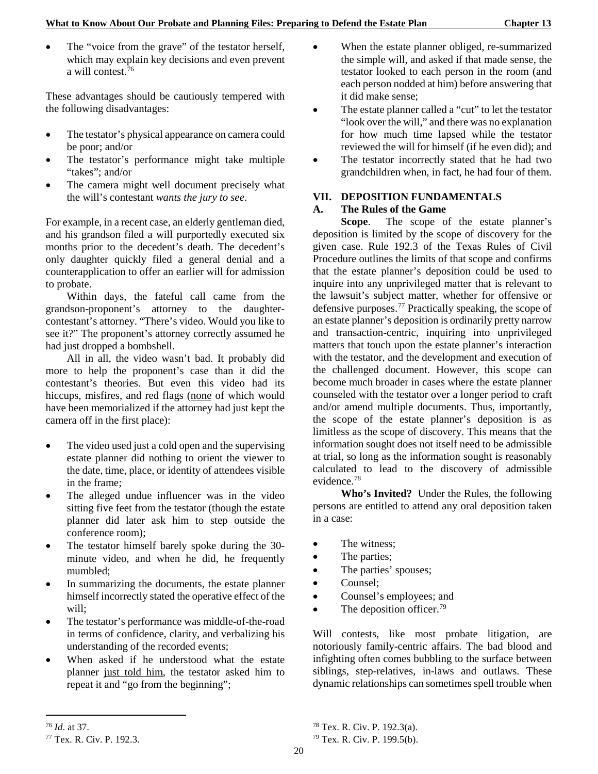The "voice from the grave" of the testator herself, which may explain key decisions and even prevent a will contest. $76$ 

These advantages should be cautiously tempered with the following disadvantages:

- The testator's physical appearance on camera could be poor; and/or
- The testator's performance might take multiple "takes"; and/or
- The camera might well document precisely what the will's contestant *wants the jury to see*.

For example, in a recent case, an elderly gentleman died, and his grandson filed a will purportedly executed six months prior to the decedent's death. The decedent's only daughter quickly filed a general denial and a counterapplication to offer an earlier will for admission to probate.

Within days, the fateful call came from the grandson-proponent's attorney to the daughtercontestant's attorney. "There's video. Would you like to see it?" The proponent's attorney correctly assumed he had just dropped a bombshell.

All in all, the video wasn't bad. It probably did more to help the proponent's case than it did the contestant's theories. But even this video had its hiccups, misfires, and red flags (none of which would have been memorialized if the attorney had just kept the camera off in the first place):

- The video used just a cold open and the supervising estate planner did nothing to orient the viewer to the date, time, place, or identity of attendees visible in the frame;
- The alleged undue influencer was in the video sitting five feet from the testator (though the estate planner did later ask him to step outside the conference room);
- The testator himself barely spoke during the 30minute video, and when he did, he frequently mumbled;
- In summarizing the documents, the estate planner himself incorrectly stated the operative effect of the will;
- The testator's performance was middle-of-the-road in terms of confidence, clarity, and verbalizing his understanding of the recorded events;
- When asked if he understood what the estate planner just told him, the testator asked him to repeat it and "go from the beginning";
- When the estate planner obliged, re-summarized the simple will, and asked if that made sense, the testator looked to each person in the room (and each person nodded at him) before answering that it did make sense;
- The estate planner called a "cut" to let the testator "look over the will," and there was no explanation for how much time lapsed while the testator reviewed the will for himself (if he even did); and
- The testator incorrectly stated that he had two grandchildren when, in fact, he had four of them.

## **VII. DEPOSITION FUNDAMENTALS**

#### **A. The Rules of the Game**

**Scope**. The scope of the estate planner's deposition is limited by the scope of discovery for the given case. Rule 192.3 of the Texas Rules of Civil Procedure outlines the limits of that scope and confirms that the estate planner's deposition could be used to inquire into any unprivileged matter that is relevant to the lawsuit's subject matter, whether for offensive or defensive purposes.[77](#page-27-1) Practically speaking, the scope of an estate planner's deposition is ordinarily pretty narrow and transaction-centric, inquiring into unprivileged matters that touch upon the estate planner's interaction with the testator, and the development and execution of the challenged document. However, this scope can become much broader in cases where the estate planner counseled with the testator over a longer period to craft and/or amend multiple documents. Thus, importantly, the scope of the estate planner's deposition is as limitless as the scope of discovery. This means that the information sought does not itself need to be admissible at trial, so long as the information sought is reasonably calculated to lead to the discovery of admissible evidence.[78](#page-27-0)

**Who's Invited?** Under the Rules, the following persons are entitled to attend any oral deposition taken in a case:

- The witness;
- The parties;
- The parties' spouses;
- Counsel;
- Counsel's employees; and
- The deposition officer.<sup>[79](#page-27-1)</sup>

Will contests, like most probate litigation, are notoriously family-centric affairs. The bad blood and infighting often comes bubbling to the surface between siblings, step-relatives, in-laws and outlaws. These dynamic relationships can sometimes spell trouble when

1

<span id="page-27-0"></span><sup>76</sup> *Id*. at 37.

<span id="page-27-1"></span><sup>77</sup> Tex. R. Civ. P. 192.3.

<sup>78</sup> Tex. R. Civ. P. 192.3(a).

<sup>79</sup> Tex. R. Civ. P. 199.5(b).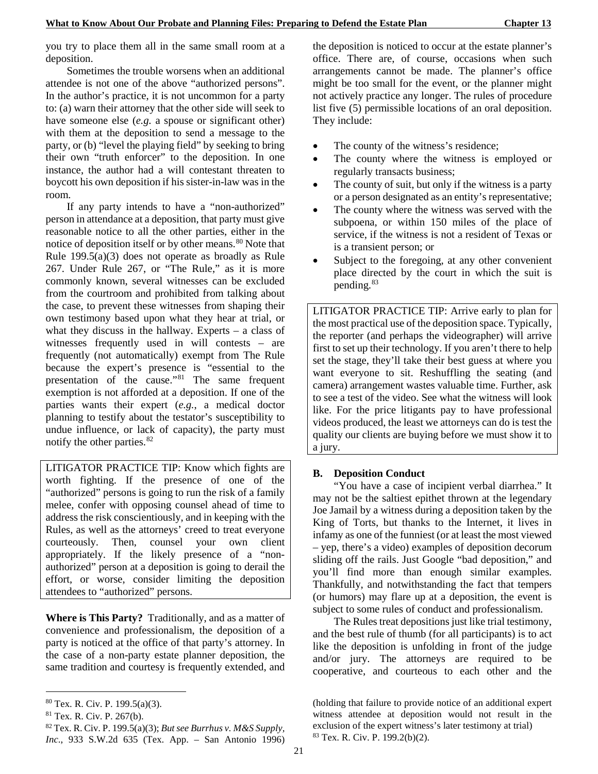you try to place them all in the same small room at a deposition.

Sometimes the trouble worsens when an additional attendee is not one of the above "authorized persons". In the author's practice, it is not uncommon for a party to: (a) warn their attorney that the other side will seek to have someone else (*e.g.* a spouse or significant other) with them at the deposition to send a message to the party, or (b) "level the playing field" by seeking to bring their own "truth enforcer" to the deposition. In one instance, the author had a will contestant threaten to boycott his own deposition if his sister-in-law was in the room.

If any party intends to have a "non-authorized" person in attendance at a deposition, that party must give reasonable notice to all the other parties, either in the notice of deposition itself or by other means.<sup>[80](#page-28-0)</sup> Note that Rule 199.5(a)(3) does not operate as broadly as Rule 267. Under Rule 267, or "The Rule," as it is more commonly known, several witnesses can be excluded from the courtroom and prohibited from talking about the case, to prevent these witnesses from shaping their own testimony based upon what they hear at trial, or what they discuss in the hallway. Experts – a class of witnesses frequently used in will contests – are frequently (not automatically) exempt from The Rule because the expert's presence is "essential to the presentation of the cause."[81](#page-28-1) The same frequent exemption is not afforded at a deposition. If one of the parties wants their expert (*e.g.*, a medical doctor planning to testify about the testator's susceptibility to undue influence, or lack of capacity), the party must notify the other parties.[82](#page-28-2)

LITIGATOR PRACTICE TIP: Know which fights are worth fighting. If the presence of one of the "authorized" persons is going to run the risk of a family melee, confer with opposing counsel ahead of time to address the risk conscientiously, and in keeping with the Rules, as well as the attorneys' creed to treat everyone courteously. Then, counsel your own client appropriately. If the likely presence of a "nonauthorized" person at a deposition is going to derail the effort, or worse, consider limiting the deposition attendees to "authorized" persons.

**Where is This Party?** Traditionally, and as a matter of convenience and professionalism, the deposition of a party is noticed at the office of that party's attorney. In the case of a non-party estate planner deposition, the same tradition and courtesy is frequently extended, and

1

the deposition is noticed to occur at the estate planner's office. There are, of course, occasions when such arrangements cannot be made. The planner's office might be too small for the event, or the planner might not actively practice any longer. The rules of procedure list five (5) permissible locations of an oral deposition. They include:

- The county of the witness's residence;
- The county where the witness is employed or regularly transacts business;
- The county of suit, but only if the witness is a party or a person designated as an entity's representative;
- The county where the witness was served with the subpoena, or within 150 miles of the place of service, if the witness is not a resident of Texas or is a transient person; or
- Subject to the foregoing, at any other convenient place directed by the court in which the suit is pending.<sup>[83](#page-28-3)</sup>

LITIGATOR PRACTICE TIP: Arrive early to plan for the most practical use of the deposition space. Typically, the reporter (and perhaps the videographer) will arrive first to set up their technology. If you aren't there to help set the stage, they'll take their best guess at where you want everyone to sit. Reshuffling the seating (and camera) arrangement wastes valuable time. Further, ask to see a test of the video. See what the witness will look like. For the price litigants pay to have professional videos produced, the least we attorneys can do is test the quality our clients are buying before we must show it to a jury.

## **B. Deposition Conduct**

"You have a case of incipient verbal diarrhea." It may not be the saltiest epithet thrown at the legendary Joe Jamail by a witness during a deposition taken by the King of Torts, but thanks to the Internet, it lives in infamy as one of the funniest (or at least the most viewed – yep, there's a video) examples of deposition decorum sliding off the rails. Just Google "bad deposition," and you'll find more than enough similar examples. Thankfully, and notwithstanding the fact that tempers (or humors) may flare up at a deposition, the event is subject to some rules of conduct and professionalism.

The Rules treat depositions just like trial testimony, and the best rule of thumb (for all participants) is to act like the deposition is unfolding in front of the judge and/or jury. The attorneys are required to be cooperative, and courteous to each other and the

<span id="page-28-0"></span><sup>80</sup> Tex. R. Civ. P. 199.5(a)(3).

<span id="page-28-1"></span><sup>81</sup> Tex. R. Civ. P. 267(b).

<span id="page-28-3"></span><span id="page-28-2"></span><sup>82</sup> Tex. R. Civ. P. 199.5(a)(3); *But see Burrhus v. M&S Supply, Inc*., 933 S.W.2d 635 (Tex. App. – San Antonio 1996)

<sup>(</sup>holding that failure to provide notice of an additional expert witness attendee at deposition would not result in the exclusion of the expert witness's later testimony at trial) <sup>83</sup> Tex. R. Civ. P. 199.2(b)(2).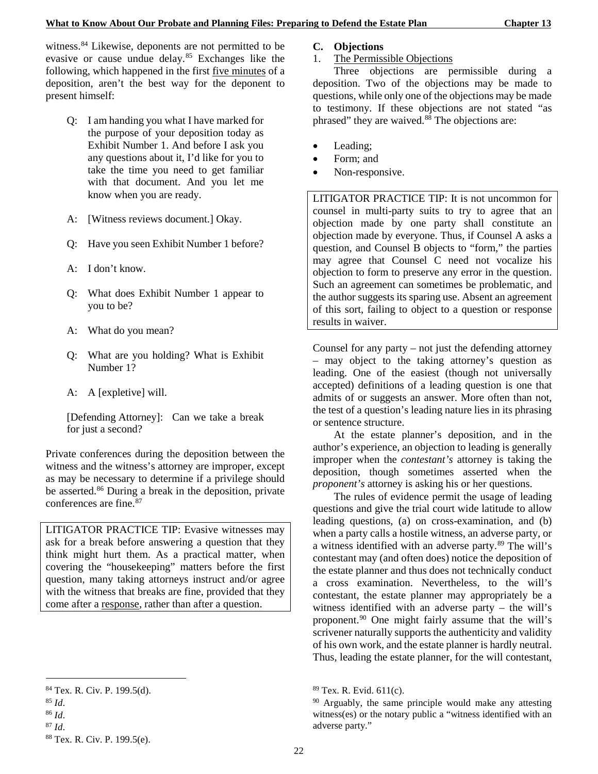witness.<sup>[84](#page-29-0)</sup> Likewise, deponents are not permitted to be evasive or cause undue delay.<sup>[85](#page-29-1)</sup> Exchanges like the following, which happened in the first five minutes of a deposition, aren't the best way for the deponent to present himself:

- Q: I am handing you what I have marked for the purpose of your deposition today as Exhibit Number 1. And before I ask you any questions about it, I'd like for you to take the time you need to get familiar with that document. And you let me know when you are ready.
- A: [Witness reviews document.] Okay.
- Q: Have you seen Exhibit Number 1 before?
- A: I don't know.
- Q: What does Exhibit Number 1 appear to you to be?
- A: What do you mean?
- Q: What are you holding? What is Exhibit Number 1?
- A: A [expletive] will.

[Defending Attorney]: Can we take a break for just a second?

Private conferences during the deposition between the witness and the witness's attorney are improper, except as may be necessary to determine if a privilege should be asserted. [86](#page-29-2) During a break in the deposition, private conferences are fine.[87](#page-29-3)

LITIGATOR PRACTICE TIP: Evasive witnesses may ask for a break before answering a question that they think might hurt them. As a practical matter, when covering the "housekeeping" matters before the first question, many taking attorneys instruct and/or agree with the witness that breaks are fine, provided that they come after a response, rather than after a question.

1

<span id="page-29-3"></span><span id="page-29-2"></span><sup>86</sup> *Id*. <sup>87</sup> *Id*.

## **C. Objections**

1. The Permissible Objections

Three objections are permissible during a deposition. Two of the objections may be made to questions, while only one of the objections may be made to testimony. If these objections are not stated "as phrased" they are waived. $88$ <sup>8</sup> The objections are:

- Leading;
- Form; and
- Non-responsive.

LITIGATOR PRACTICE TIP: It is not uncommon for counsel in multi-party suits to try to agree that an objection made by one party shall constitute an objection made by everyone. Thus, if Counsel A asks a question, and Counsel B objects to "form," the parties may agree that Counsel C need not vocalize his objection to form to preserve any error in the question. Such an agreement can sometimes be problematic, and the author suggests its sparing use. Absent an agreement of this sort, failing to object to a question or response results in waiver.

Counsel for any party – not just the defending attorney – may object to the taking attorney's question as leading. One of the easiest (though not universally accepted) definitions of a leading question is one that admits of or suggests an answer. More often than not, the test of a question's leading nature lies in its phrasing or sentence structure.

At the estate planner's deposition, and in the author's experience, an objection to leading is generally improper when the *contestant's* attorney is taking the deposition, though sometimes asserted when the *proponent's* attorney is asking his or her questions.

The rules of evidence permit the usage of leading questions and give the trial court wide latitude to allow leading questions, (a) on cross-examination, and (b) when a party calls a hostile witness, an adverse party, or a witness identified with an adverse party.<sup>[89](#page-29-0)</sup> The will's contestant may (and often does) notice the deposition of the estate planner and thus does not technically conduct a cross examination. Nevertheless, to the will's contestant, the estate planner may appropriately be a witness identified with an adverse party – the will's proponent.[90](#page-29-1) One might fairly assume that the will's scrivener naturally supports the authenticity and validity of his own work, and the estate planner is hardly neutral. Thus, leading the estate planner, for the will contestant,

<span id="page-29-0"></span><sup>84</sup> Tex. R. Civ. P. 199.5(d).

<span id="page-29-1"></span><sup>85</sup> *Id*.

<span id="page-29-4"></span><sup>88</sup> Tex. R. Civ. P. 199.5(e).

<sup>89</sup> Tex. R. Evid. 611(c).

<sup>&</sup>lt;sup>90</sup> Arguably, the same principle would make any attesting witness(es) or the notary public a "witness identified with an adverse party."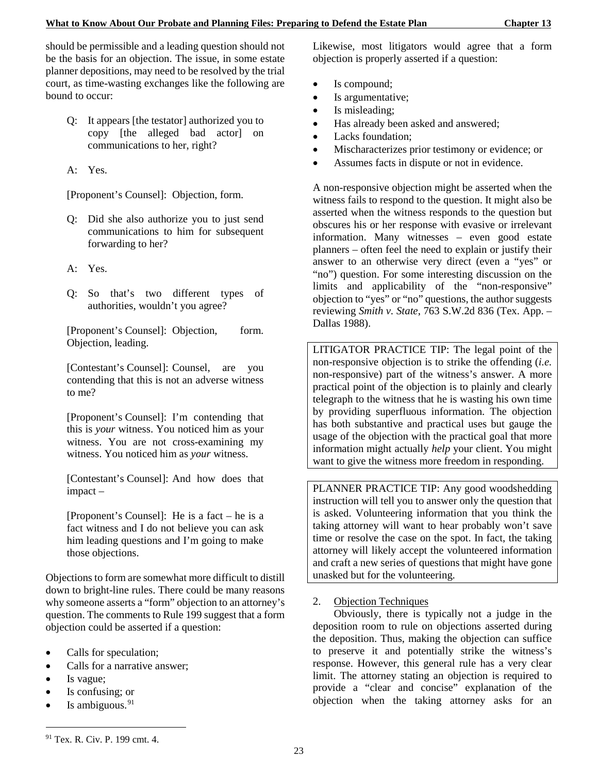should be permissible and a leading question should not be the basis for an objection. The issue, in some estate planner depositions, may need to be resolved by the trial court, as time-wasting exchanges like the following are bound to occur:

- Q: It appears [the testator] authorized you to copy [the alleged bad actor] on communications to her, right?
- A: Yes.

[Proponent's Counsel]: Objection, form.

- Q: Did she also authorize you to just send communications to him for subsequent forwarding to her?
- A: Yes.
- Q: So that's two different types of authorities, wouldn't you agree?

[Proponent's Counsel]: Objection, form. Objection, leading.

[Contestant's Counsel]: Counsel, are you contending that this is not an adverse witness to me?

[Proponent's Counsel]: I'm contending that this is *your* witness. You noticed him as your witness. You are not cross-examining my witness. You noticed him as *your* witness.

[Contestant's Counsel]: And how does that impact –

[Proponent's Counsel]: He is a fact – he is a fact witness and I do not believe you can ask him leading questions and I'm going to make those objections.

Objections to form are somewhat more difficult to distill down to bright-line rules. There could be many reasons why someone asserts a "form" objection to an attorney's question. The comments to Rule 199 suggest that a form objection could be asserted if a question:

- Calls for speculation;
- Calls for a narrative answer;
- Is vague;

-

- Is confusing; or
- Is ambiguous. $91$

Likewise, most litigators would agree that a form objection is properly asserted if a question:

- Is compound;
- Is argumentative;
- Is misleading:
- Has already been asked and answered;
- Lacks foundation:
- Mischaracterizes prior testimony or evidence; or
- Assumes facts in dispute or not in evidence.

A non-responsive objection might be asserted when the witness fails to respond to the question. It might also be asserted when the witness responds to the question but obscures his or her response with evasive or irrelevant information. Many witnesses – even good estate planners – often feel the need to explain or justify their answer to an otherwise very direct (even a "yes" or "no") question. For some interesting discussion on the limits and applicability of the "non-responsive" objection to "yes" or "no" questions, the author suggests reviewing *Smith v. State*, 763 S.W.2d 836 (Tex. App. – Dallas 1988).

LITIGATOR PRACTICE TIP: The legal point of the non-responsive objection is to strike the offending (*i.e.* non-responsive) part of the witness's answer. A more practical point of the objection is to plainly and clearly telegraph to the witness that he is wasting his own time by providing superfluous information. The objection has both substantive and practical uses but gauge the usage of the objection with the practical goal that more information might actually *help* your client. You might want to give the witness more freedom in responding.

PLANNER PRACTICE TIP: Any good woodshedding instruction will tell you to answer only the question that is asked. Volunteering information that you think the taking attorney will want to hear probably won't save time or resolve the case on the spot. In fact, the taking attorney will likely accept the volunteered information and craft a new series of questions that might have gone unasked but for the volunteering.

#### 2. Objection Techniques

Obviously, there is typically not a judge in the deposition room to rule on objections asserted during the deposition. Thus, making the objection can suffice to preserve it and potentially strike the witness's response. However, this general rule has a very clear limit. The attorney stating an objection is required to provide a "clear and concise" explanation of the objection when the taking attorney asks for an

<span id="page-30-0"></span><sup>91</sup> Tex. R. Civ. P. 199 cmt. 4.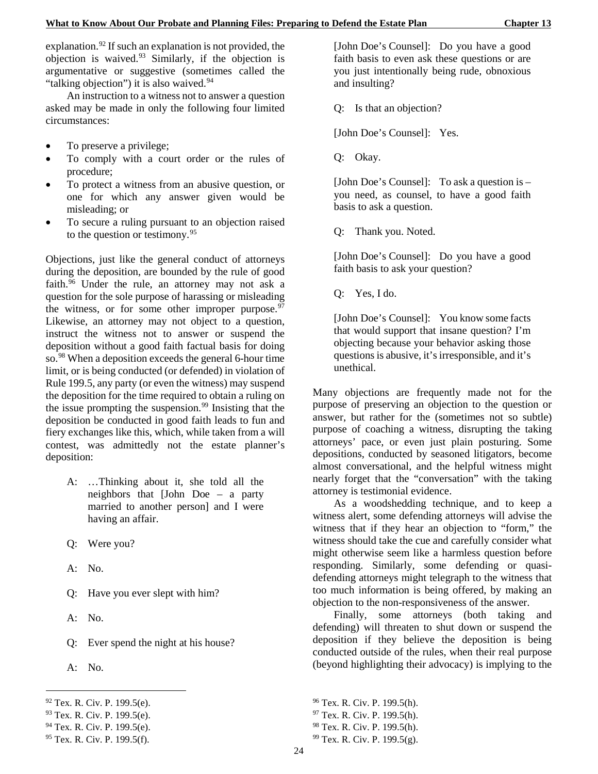explanation.<sup>92</sup> If such an explanation is not provided, the objection is waived.[93](#page-31-1) Similarly, if the objection is argumentative or suggestive (sometimes called the "talking objection") it is also waived.<sup>[94](#page-31-2)</sup>

An instruction to a witness not to answer a question asked may be made in only the following four limited circumstances:

- To preserve a privilege;
- To comply with a court order or the rules of procedure;
- To protect a witness from an abusive question, or one for which any answer given would be misleading; or
- To secure a ruling pursuant to an objection raised to the question or testimony.[95](#page-31-3)

Objections, just like the general conduct of attorneys during the deposition, are bounded by the rule of good faith.<sup>[96](#page-31-0)</sup> Under the rule, an attorney may not ask a question for the sole purpose of harassing or misleading the witness, or for some other improper purpose. $97$ Likewise, an attorney may not object to a question, instruct the witness not to answer or suspend the deposition without a good faith factual basis for doing so.<sup>[98](#page-31-2)</sup> When a deposition exceeds the general 6-hour time limit, or is being conducted (or defended) in violation of Rule 199.5, any party (or even the witness) may suspend the deposition for the time required to obtain a ruling on the issue prompting the suspension.<sup>[99](#page-31-3)</sup> Insisting that the deposition be conducted in good faith leads to fun and fiery exchanges like this, which, while taken from a will contest, was admittedly not the estate planner's deposition:

- A: …Thinking about it, she told all the neighbors that [John Doe – a party married to another person] and I were having an affair.
- Q: Were you?
- A: No.
- Q: Have you ever slept with him?
- A: No.
- Q: Ever spend the night at his house?
- A: No.

1

<span id="page-31-2"></span> $94$  Tex. R. Civ. P. 199.5(e).

[John Doe's Counsel]: Do you have a good faith basis to even ask these questions or are you just intentionally being rude, obnoxious and insulting?

Q: Is that an objection?

[John Doe's Counsel]: Yes.

Q: Okay.

[John Doe's Counsel]: To ask a question is – you need, as counsel, to have a good faith basis to ask a question.

Q: Thank you. Noted.

[John Doe's Counsel]: Do you have a good faith basis to ask your question?

Q: Yes, I do.

[John Doe's Counsel]: You know some facts that would support that insane question? I'm objecting because your behavior asking those questions is abusive, it's irresponsible, and it's unethical.

Many objections are frequently made not for the purpose of preserving an objection to the question or answer, but rather for the (sometimes not so subtle) purpose of coaching a witness, disrupting the taking attorneys' pace, or even just plain posturing. Some depositions, conducted by seasoned litigators, become almost conversational, and the helpful witness might nearly forget that the "conversation" with the taking attorney is testimonial evidence.

As a woodshedding technique, and to keep a witness alert, some defending attorneys will advise the witness that if they hear an objection to "form," the witness should take the cue and carefully consider what might otherwise seem like a harmless question before responding. Similarly, some defending or quasidefending attorneys might telegraph to the witness that too much information is being offered, by making an objection to the non-responsiveness of the answer.

Finally, some attorneys (both taking and defending) will threaten to shut down or suspend the deposition if they believe the deposition is being conducted outside of the rules, when their real purpose (beyond highlighting their advocacy) is implying to the

<sup>96</sup> Tex. R. Civ. P. 199.5(h).

<sup>98</sup> Tex. R. Civ. P. 199.5(h).

<span id="page-31-0"></span> $92$  Tex. R. Civ. P. 199.5(e).

<span id="page-31-1"></span><sup>93</sup> Tex. R. Civ. P. 199.5(e).

<span id="page-31-3"></span><sup>95</sup> Tex. R. Civ. P. 199.5(f).

<sup>97</sup> Tex. R. Civ. P. 199.5(h).

<sup>99</sup> Tex. R. Civ. P. 199.5(g).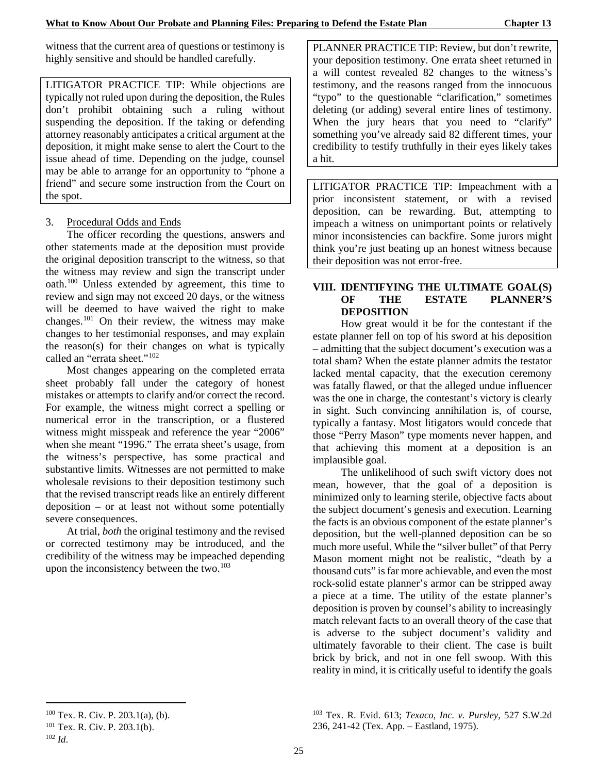witness that the current area of questions or testimony is highly sensitive and should be handled carefully.

LITIGATOR PRACTICE TIP: While objections are typically not ruled upon during the deposition, the Rules don't prohibit obtaining such a ruling without suspending the deposition. If the taking or defending attorney reasonably anticipates a critical argument at the deposition, it might make sense to alert the Court to the issue ahead of time. Depending on the judge, counsel may be able to arrange for an opportunity to "phone a friend" and secure some instruction from the Court on the spot.

## 3. Procedural Odds and Ends

The officer recording the questions, answers and other statements made at the deposition must provide the original deposition transcript to the witness, so that the witness may review and sign the transcript under oath.[100](#page-32-0) Unless extended by agreement, this time to review and sign may not exceed 20 days, or the witness will be deemed to have waived the right to make changes[.101](#page-32-1) On their review, the witness may make changes to her testimonial responses, and may explain the reason(s) for their changes on what is typically called an "errata sheet."<sup>[102](#page-32-2)</sup>

Most changes appearing on the completed errata sheet probably fall under the category of honest mistakes or attempts to clarify and/or correct the record. For example, the witness might correct a spelling or numerical error in the transcription, or a flustered witness might misspeak and reference the year "2006" when she meant "1996." The errata sheet's usage, from the witness's perspective, has some practical and substantive limits. Witnesses are not permitted to make wholesale revisions to their deposition testimony such that the revised transcript reads like an entirely different deposition – or at least not without some potentially severe consequences.

At trial, *both* the original testimony and the revised or corrected testimony may be introduced, and the credibility of the witness may be impeached depending upon the inconsistency between the two. $103$ 

PLANNER PRACTICE TIP: Review, but don't rewrite, your deposition testimony. One errata sheet returned in a will contest revealed 82 changes to the witness's testimony, and the reasons ranged from the innocuous "typo" to the questionable "clarification," sometimes deleting (or adding) several entire lines of testimony. When the jury hears that you need to "clarify" something you've already said 82 different times, your credibility to testify truthfully in their eyes likely takes a hit.

LITIGATOR PRACTICE TIP: Impeachment with a prior inconsistent statement, or with a revised deposition, can be rewarding. But, attempting to impeach a witness on unimportant points or relatively minor inconsistencies can backfire. Some jurors might think you're just beating up an honest witness because their deposition was not error-free.

## **VIII. IDENTIFYING THE ULTIMATE GOAL(S) OF THE ESTATE PLANNER'S DEPOSITION**

How great would it be for the contestant if the estate planner fell on top of his sword at his deposition – admitting that the subject document's execution was a total sham? When the estate planner admits the testator lacked mental capacity, that the execution ceremony was fatally flawed, or that the alleged undue influencer was the one in charge, the contestant's victory is clearly in sight. Such convincing annihilation is, of course, typically a fantasy. Most litigators would concede that those "Perry Mason" type moments never happen, and that achieving this moment at a deposition is an implausible goal.

The unlikelihood of such swift victory does not mean, however, that the goal of a deposition is minimized only to learning sterile, objective facts about the subject document's genesis and execution. Learning the facts is an obvious component of the estate planner's deposition, but the well-planned deposition can be so much more useful. While the "silver bullet" of that Perry Mason moment might not be realistic, "death by a thousand cuts" is far more achievable, and even the most rock-solid estate planner's armor can be stripped away a piece at a time. The utility of the estate planner's deposition is proven by counsel's ability to increasingly match relevant facts to an overall theory of the case that is adverse to the subject document's validity and ultimately favorable to their client. The case is built brick by brick, and not in one fell swoop. With this reality in mind, it is critically useful to identify the goals

-

<sup>103</sup> Tex. R. Evid. 613; *Texaco, Inc. v. Pursley*, 527 S.W.2d 236, 241-42 (Tex. App. – Eastland, 1975).

<span id="page-32-0"></span> $100$  Tex. R. Civ. P. 203.1(a), (b).

<span id="page-32-1"></span> $101$  Tex. R. Civ. P. 203.1(b).

<span id="page-32-2"></span><sup>102</sup> *Id*.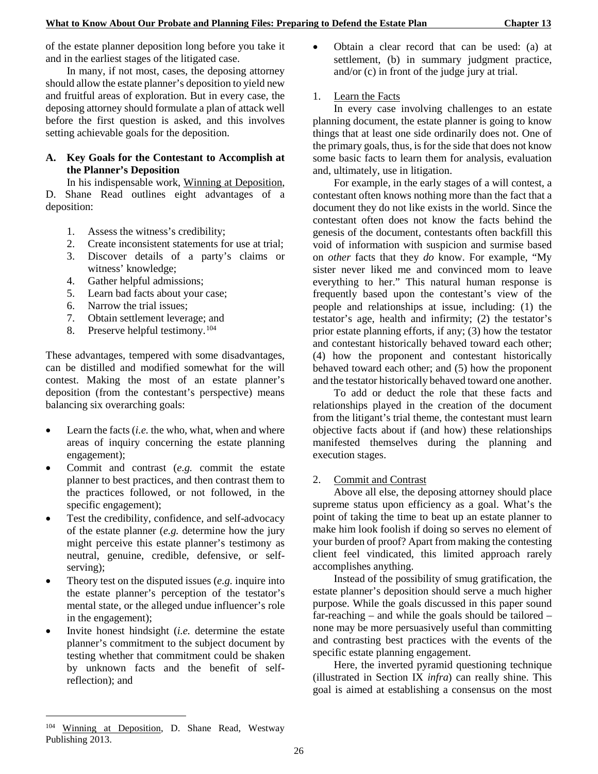of the estate planner deposition long before you take it and in the earliest stages of the litigated case.

In many, if not most, cases, the deposing attorney should allow the estate planner's deposition to yield new and fruitful areas of exploration. But in every case, the deposing attorney should formulate a plan of attack well before the first question is asked, and this involves setting achievable goals for the deposition.

### **A. Key Goals for the Contestant to Accomplish at the Planner's Deposition**

In his indispensable work, Winning at Deposition, D. Shane Read outlines eight advantages of a deposition:

- 1. Assess the witness's credibility;
- 2. Create inconsistent statements for use at trial;
- 3. Discover details of a party's claims or witness' knowledge;
- 4. Gather helpful admissions;
- 5. Learn bad facts about your case;
- 6. Narrow the trial issues;
- 7. Obtain settlement leverage; and
- 8. Preserve helpful testimony.<sup>[104](#page-33-0)</sup>

These advantages, tempered with some disadvantages, can be distilled and modified somewhat for the will contest. Making the most of an estate planner's deposition (from the contestant's perspective) means balancing six overarching goals:

- Learn the facts (*i.e.* the who, what, when and where areas of inquiry concerning the estate planning engagement);
- Commit and contrast (*e.g.* commit the estate planner to best practices, and then contrast them to the practices followed, or not followed, in the specific engagement);
- Test the credibility, confidence, and self-advocacy of the estate planner (*e.g.* determine how the jury might perceive this estate planner's testimony as neutral, genuine, credible, defensive, or selfserving);
- Theory test on the disputed issues (*e.g.* inquire into the estate planner's perception of the testator's mental state, or the alleged undue influencer's role in the engagement);
- Invite honest hindsight (*i.e.* determine the estate planner's commitment to the subject document by testing whether that commitment could be shaken by unknown facts and the benefit of selfreflection); and

• Obtain a clear record that can be used: (a) at settlement, (b) in summary judgment practice, and/or (c) in front of the judge jury at trial.

## 1. Learn the Facts

In every case involving challenges to an estate planning document, the estate planner is going to know things that at least one side ordinarily does not. One of the primary goals, thus, is for the side that does not know some basic facts to learn them for analysis, evaluation and, ultimately, use in litigation.

For example, in the early stages of a will contest, a contestant often knows nothing more than the fact that a document they do not like exists in the world. Since the contestant often does not know the facts behind the genesis of the document, contestants often backfill this void of information with suspicion and surmise based on *other* facts that they *do* know. For example, "My sister never liked me and convinced mom to leave everything to her." This natural human response is frequently based upon the contestant's view of the people and relationships at issue, including: (1) the testator's age, health and infirmity; (2) the testator's prior estate planning efforts, if any; (3) how the testator and contestant historically behaved toward each other; (4) how the proponent and contestant historically behaved toward each other; and (5) how the proponent and the testator historically behaved toward one another.

To add or deduct the role that these facts and relationships played in the creation of the document from the litigant's trial theme, the contestant must learn objective facts about if (and how) these relationships manifested themselves during the planning and execution stages.

#### 2. Commit and Contrast

Above all else, the deposing attorney should place supreme status upon efficiency as a goal. What's the point of taking the time to beat up an estate planner to make him look foolish if doing so serves no element of your burden of proof? Apart from making the contesting client feel vindicated, this limited approach rarely accomplishes anything.

Instead of the possibility of smug gratification, the estate planner's deposition should serve a much higher purpose. While the goals discussed in this paper sound far-reaching – and while the goals should be tailored – none may be more persuasively useful than committing and contrasting best practices with the events of the specific estate planning engagement.

Here, the inverted pyramid questioning technique (illustrated in Section IX *infra*) can really shine. This goal is aimed at establishing a consensus on the most

-

<span id="page-33-0"></span><sup>104</sup> Winning at Deposition, D. Shane Read, Westway Publishing 2013.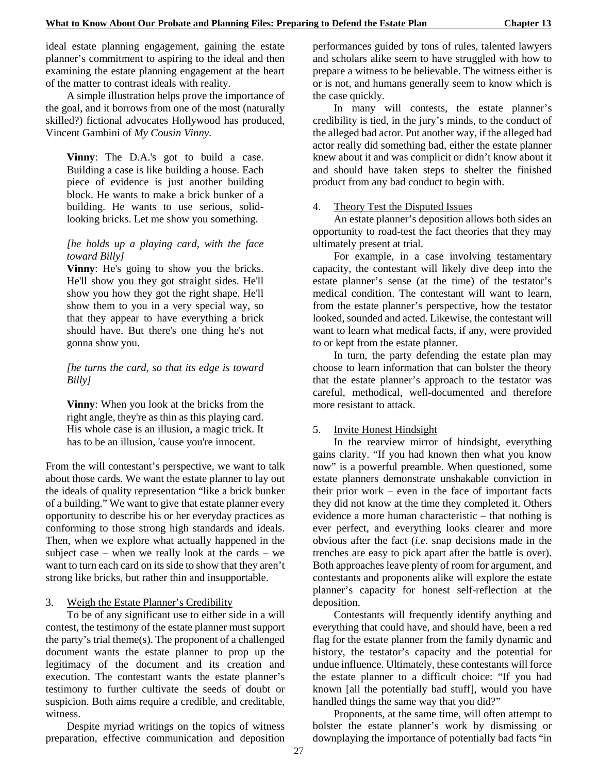ideal estate planning engagement, gaining the estate planner's commitment to aspiring to the ideal and then examining the estate planning engagement at the heart of the matter to contrast ideals with reality.

A simple illustration helps prove the importance of the goal, and it borrows from one of the most (naturally skilled?) fictional advocates Hollywood has produced, Vincent Gambini of *My Cousin Vinny*.

**Vinny**: The D.A.'s got to build a case. Building a case is like building a house. Each piece of evidence is just another building block. He wants to make a brick bunker of a building. He wants to use serious, solidlooking bricks. Let me show you something.

#### *[he holds up a playing card, with the face toward Billy]*

**Vinny**: He's going to show you the bricks. He'll show you they got straight sides. He'll show you how they got the right shape. He'll show them to you in a very special way, so that they appear to have everything a brick should have. But there's one thing he's not gonna show you.

*[he turns the card, so that its edge is toward Billy]*

**Vinny**: When you look at the bricks from the right angle, they're as thin as this playing card. His whole case is an illusion, a magic trick. It has to be an illusion, 'cause you're innocent.

From the will contestant's perspective, we want to talk about those cards. We want the estate planner to lay out the ideals of quality representation "like a brick bunker of a building." We want to give that estate planner every opportunity to describe his or her everyday practices as conforming to those strong high standards and ideals. Then, when we explore what actually happened in the subject case – when we really look at the cards – we want to turn each card on its side to show that they aren't strong like bricks, but rather thin and insupportable.

#### 3. Weigh the Estate Planner's Credibility

To be of any significant use to either side in a will contest, the testimony of the estate planner must support the party's trial theme(s). The proponent of a challenged document wants the estate planner to prop up the legitimacy of the document and its creation and execution. The contestant wants the estate planner's testimony to further cultivate the seeds of doubt or suspicion. Both aims require a credible, and creditable, witness.

Despite myriad writings on the topics of witness preparation, effective communication and deposition performances guided by tons of rules, talented lawyers and scholars alike seem to have struggled with how to prepare a witness to be believable. The witness either is or is not, and humans generally seem to know which is the case quickly.

In many will contests, the estate planner's credibility is tied, in the jury's minds, to the conduct of the alleged bad actor. Put another way, if the alleged bad actor really did something bad, either the estate planner knew about it and was complicit or didn't know about it and should have taken steps to shelter the finished product from any bad conduct to begin with.

#### 4. Theory Test the Disputed Issues

An estate planner's deposition allows both sides an opportunity to road-test the fact theories that they may ultimately present at trial.

For example, in a case involving testamentary capacity, the contestant will likely dive deep into the estate planner's sense (at the time) of the testator's medical condition. The contestant will want to learn, from the estate planner's perspective, how the testator looked, sounded and acted. Likewise, the contestant will want to learn what medical facts, if any, were provided to or kept from the estate planner.

In turn, the party defending the estate plan may choose to learn information that can bolster the theory that the estate planner's approach to the testator was careful, methodical, well-documented and therefore more resistant to attack.

#### 5. Invite Honest Hindsight

In the rearview mirror of hindsight, everything gains clarity. "If you had known then what you know now" is a powerful preamble. When questioned, some estate planners demonstrate unshakable conviction in their prior work – even in the face of important facts they did not know at the time they completed it. Others evidence a more human characteristic – that nothing is ever perfect, and everything looks clearer and more obvious after the fact (*i.e*. snap decisions made in the trenches are easy to pick apart after the battle is over). Both approaches leave plenty of room for argument, and contestants and proponents alike will explore the estate planner's capacity for honest self-reflection at the deposition.

Contestants will frequently identify anything and everything that could have, and should have, been a red flag for the estate planner from the family dynamic and history, the testator's capacity and the potential for undue influence. Ultimately, these contestants will force the estate planner to a difficult choice: "If you had known [all the potentially bad stuff], would you have handled things the same way that you did?"

Proponents, at the same time, will often attempt to bolster the estate planner's work by dismissing or downplaying the importance of potentially bad facts "in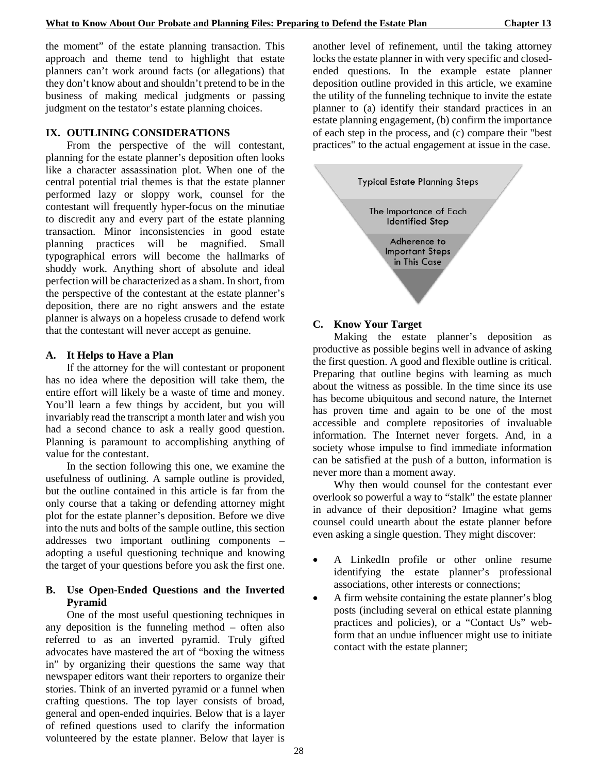the moment" of the estate planning transaction. This approach and theme tend to highlight that estate planners can't work around facts (or allegations) that they don't know about and shouldn't pretend to be in the business of making medical judgments or passing judgment on the testator's estate planning choices.

#### **IX. OUTLINING CONSIDERATIONS**

From the perspective of the will contestant, planning for the estate planner's deposition often looks like a character assassination plot. When one of the central potential trial themes is that the estate planner performed lazy or sloppy work, counsel for the contestant will frequently hyper-focus on the minutiae to discredit any and every part of the estate planning transaction. Minor inconsistencies in good estate planning practices will be magnified. Small typographical errors will become the hallmarks of shoddy work. Anything short of absolute and ideal perfection will be characterized as a sham. In short, from the perspective of the contestant at the estate planner's deposition, there are no right answers and the estate planner is always on a hopeless crusade to defend work that the contestant will never accept as genuine.

#### **A. It Helps to Have a Plan**

If the attorney for the will contestant or proponent has no idea where the deposition will take them, the entire effort will likely be a waste of time and money. You'll learn a few things by accident, but you will invariably read the transcript a month later and wish you had a second chance to ask a really good question. Planning is paramount to accomplishing anything of value for the contestant.

In the section following this one, we examine the usefulness of outlining. A sample outline is provided, but the outline contained in this article is far from the only course that a taking or defending attorney might plot for the estate planner's deposition. Before we dive into the nuts and bolts of the sample outline, this section addresses two important outlining components – adopting a useful questioning technique and knowing the target of your questions before you ask the first one.

#### **B. Use Open-Ended Questions and the Inverted Pyramid**

One of the most useful questioning techniques in any deposition is the funneling method – often also referred to as an inverted pyramid. Truly gifted advocates have mastered the art of "boxing the witness in" by organizing their questions the same way that newspaper editors want their reporters to organize their stories. Think of an inverted pyramid or a funnel when crafting questions. The top layer consists of broad, general and open-ended inquiries. Below that is a layer of refined questions used to clarify the information volunteered by the estate planner. Below that layer is

another level of refinement, until the taking attorney locks the estate planner in with very specific and closedended questions. In the example estate planner deposition outline provided in this article, we examine the utility of the funneling technique to invite the estate planner to (a) identify their standard practices in an estate planning engagement, (b) confirm the importance of each step in the process, and (c) compare their "best practices" to the actual engagement at issue in the case.



#### **C. Know Your Target**

Making the estate planner's deposition as productive as possible begins well in advance of asking the first question. A good and flexible outline is critical. Preparing that outline begins with learning as much about the witness as possible. In the time since its use has become ubiquitous and second nature, the Internet has proven time and again to be one of the most accessible and complete repositories of invaluable information. The Internet never forgets. And, in a society whose impulse to find immediate information can be satisfied at the push of a button, information is never more than a moment away.

Why then would counsel for the contestant ever overlook so powerful a way to "stalk" the estate planner in advance of their deposition? Imagine what gems counsel could unearth about the estate planner before even asking a single question. They might discover:

- A LinkedIn profile or other online resume identifying the estate planner's professional associations, other interests or connections;
- A firm website containing the estate planner's blog posts (including several on ethical estate planning practices and policies), or a "Contact Us" webform that an undue influencer might use to initiate contact with the estate planner;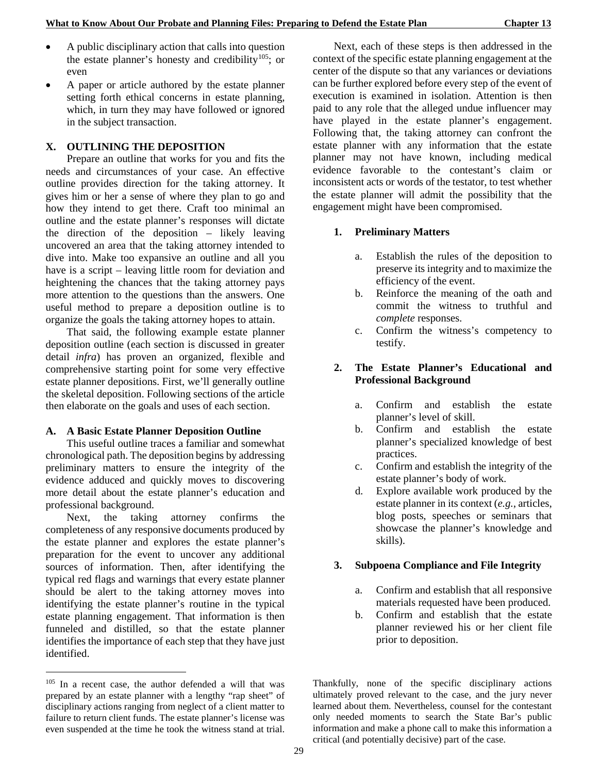- A public disciplinary action that calls into question the estate planner's honesty and credibility<sup>[105](#page-36-0)</sup>; or even
- A paper or article authored by the estate planner setting forth ethical concerns in estate planning, which, in turn they may have followed or ignored in the subject transaction.

#### **X. OUTLINING THE DEPOSITION**

Prepare an outline that works for you and fits the needs and circumstances of your case. An effective outline provides direction for the taking attorney. It gives him or her a sense of where they plan to go and how they intend to get there. Craft too minimal an outline and the estate planner's responses will dictate the direction of the deposition – likely leaving uncovered an area that the taking attorney intended to dive into. Make too expansive an outline and all you have is a script – leaving little room for deviation and heightening the chances that the taking attorney pays more attention to the questions than the answers. One useful method to prepare a deposition outline is to organize the goals the taking attorney hopes to attain.

That said, the following example estate planner deposition outline (each section is discussed in greater detail *infra*) has proven an organized, flexible and comprehensive starting point for some very effective estate planner depositions. First, we'll generally outline the skeletal deposition. Following sections of the article then elaborate on the goals and uses of each section.

#### **A. A Basic Estate Planner Deposition Outline**

This useful outline traces a familiar and somewhat chronological path. The deposition begins by addressing preliminary matters to ensure the integrity of the evidence adduced and quickly moves to discovering more detail about the estate planner's education and professional background.

Next, the taking attorney confirms the completeness of any responsive documents produced by the estate planner and explores the estate planner's preparation for the event to uncover any additional sources of information. Then, after identifying the typical red flags and warnings that every estate planner should be alert to the taking attorney moves into identifying the estate planner's routine in the typical estate planning engagement. That information is then funneled and distilled, so that the estate planner identifies the importance of each step that they have just identified.

-

Next, each of these steps is then addressed in the context of the specific estate planning engagement at the center of the dispute so that any variances or deviations can be further explored before every step of the event of execution is examined in isolation. Attention is then paid to any role that the alleged undue influencer may have played in the estate planner's engagement. Following that, the taking attorney can confront the estate planner with any information that the estate planner may not have known, including medical evidence favorable to the contestant's claim or inconsistent acts or words of the testator, to test whether the estate planner will admit the possibility that the engagement might have been compromised.

#### **1. Preliminary Matters**

- a. Establish the rules of the deposition to preserve its integrity and to maximize the efficiency of the event.
- b. Reinforce the meaning of the oath and commit the witness to truthful and *complete* responses.
- c. Confirm the witness's competency to testify.

## **2. The Estate Planner's Educational and Professional Background**

- a. Confirm and establish the estate planner's level of skill.
- b. Confirm and establish the estate planner's specialized knowledge of best practices.
- c. Confirm and establish the integrity of the estate planner's body of work.
- d. Explore available work produced by the estate planner in its context (*e.g.*, articles, blog posts, speeches or seminars that showcase the planner's knowledge and skills).

#### **3. Subpoena Compliance and File Integrity**

- a. Confirm and establish that all responsive materials requested have been produced.
- b. Confirm and establish that the estate planner reviewed his or her client file prior to deposition.

Thankfully, none of the specific disciplinary actions ultimately proved relevant to the case, and the jury never learned about them. Nevertheless, counsel for the contestant only needed moments to search the State Bar's public information and make a phone call to make this information a critical (and potentially decisive) part of the case.

<span id="page-36-0"></span><sup>105</sup> In a recent case, the author defended a will that was prepared by an estate planner with a lengthy "rap sheet" of disciplinary actions ranging from neglect of a client matter to failure to return client funds. The estate planner's license was even suspended at the time he took the witness stand at trial.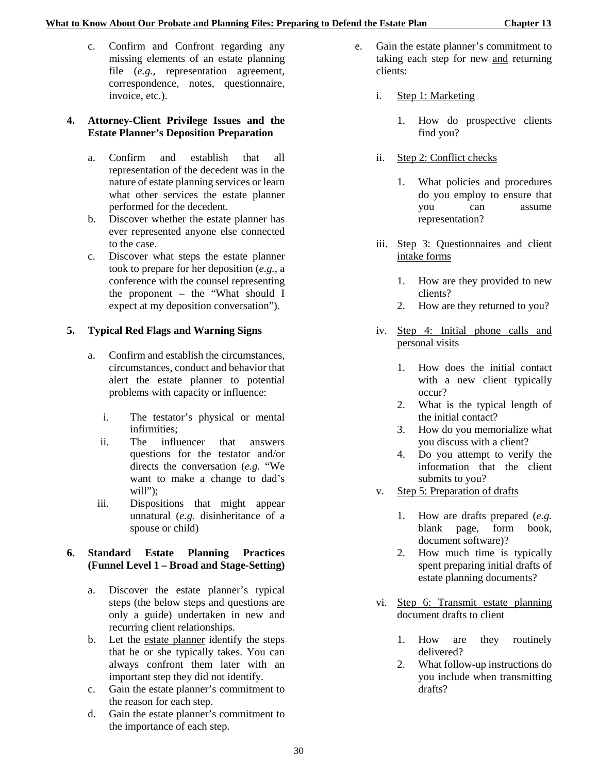c. Confirm and Confront regarding any missing elements of an estate planning file (*e.g.*, representation agreement, correspondence, notes, questionnaire, invoice, etc.).

## **4. Attorney-Client Privilege Issues and the Estate Planner's Deposition Preparation**

- a. Confirm and establish that all representation of the decedent was in the nature of estate planning services or learn what other services the estate planner performed for the decedent.
- b. Discover whether the estate planner has ever represented anyone else connected to the case.
- c. Discover what steps the estate planner took to prepare for her deposition (*e.g.*, a conference with the counsel representing the proponent – the "What should I expect at my deposition conversation").

## **5. Typical Red Flags and Warning Signs**

- a. Confirm and establish the circumstances, circumstances, conduct and behavior that alert the estate planner to potential problems with capacity or influence:
	- i. The testator's physical or mental infirmities;
	- ii. The influencer that answers questions for the testator and/or directs the conversation (*e.g.* "We want to make a change to dad's will":
	- iii. Dispositions that might appear unnatural (*e.g.* disinheritance of a spouse or child)

## **6. Standard Estate Planning Practices (Funnel Level 1 – Broad and Stage-Setting)**

- a. Discover the estate planner's typical steps (the below steps and questions are only a guide) undertaken in new and recurring client relationships.
- b. Let the estate planner identify the steps that he or she typically takes. You can always confront them later with an important step they did not identify.
- c. Gain the estate planner's commitment to the reason for each step.
- d. Gain the estate planner's commitment to the importance of each step.
- e. Gain the estate planner's commitment to taking each step for new and returning clients:
	- i. Step 1: Marketing
		- 1. How do prospective clients find you?
	- ii. Step 2: Conflict checks
		- 1. What policies and procedures do you employ to ensure that you can assume representation?
	- iii. Step 3: Questionnaires and client intake forms
		- 1. How are they provided to new clients?
		- 2. How are they returned to you?
	- iv. Step 4: Initial phone calls and personal visits
		- 1. How does the initial contact with a new client typically occur?
		- 2. What is the typical length of the initial contact?
		- 3. How do you memorialize what you discuss with a client?
		- 4. Do you attempt to verify the information that the client submits to you?
	- v. Step 5: Preparation of drafts
		- 1. How are drafts prepared (*e.g.* blank page, form book, document software)?
		- 2. How much time is typically spent preparing initial drafts of estate planning documents?
	- vi. Step 6: Transmit estate planning document drafts to client
		- 1. How are they routinely delivered?
		- 2. What follow-up instructions do you include when transmitting drafts?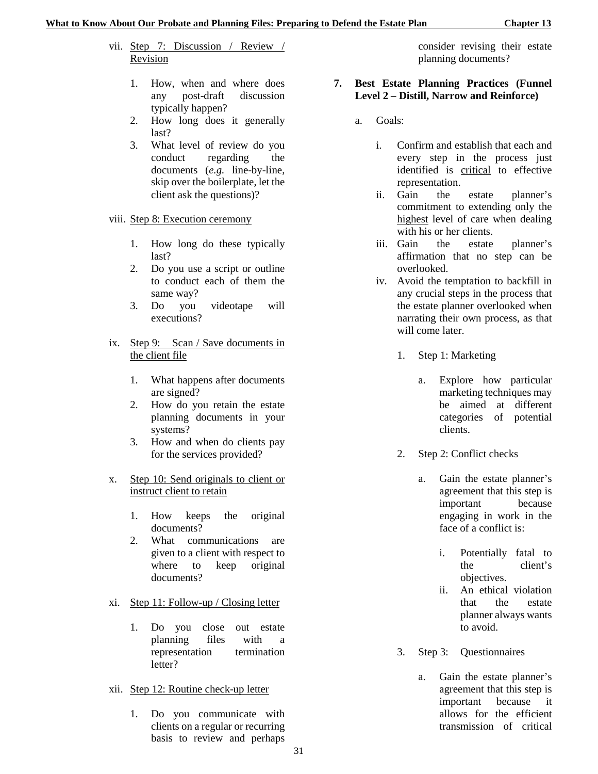- vii. Step 7: Discussion / Review / Revision
	- 1. How, when and where does any post-draft discussion typically happen?
	- 2. How long does it generally last?
	- 3. What level of review do you conduct regarding the documents (*e.g.* line-by-line, skip over the boilerplate, let the client ask the questions)?
- viii. Step 8: Execution ceremony
	- 1. How long do these typically last?
	- 2. Do you use a script or outline to conduct each of them the same way?
	- 3. Do you videotape will executions?
- ix. Step 9: Scan / Save documents in the client file
	- 1. What happens after documents are signed?
	- 2. How do you retain the estate planning documents in your systems?
	- 3. How and when do clients pay for the services provided?
- x. Step 10: Send originals to client or instruct client to retain
	- 1. How keeps the original documents?
	- 2. What communications are given to a client with respect to where to keep original documents?
- xi. Step 11: Follow-up / Closing letter
	- 1. Do you close out estate planning files with a representation termination letter?
- xii. Step 12: Routine check-up letter
	- 1. Do you communicate with clients on a regular or recurring basis to review and perhaps

consider revising their estate planning documents?

#### **7. Best Estate Planning Practices (Funnel Level 2 – Distill, Narrow and Reinforce)**

- a. Goals:
	- i. Confirm and establish that each and every step in the process just identified is critical to effective representation.
	- ii. Gain the estate planner's commitment to extending only the highest level of care when dealing with his or her clients.
	- iii. Gain the estate planner's affirmation that no step can be overlooked.
	- iv. Avoid the temptation to backfill in any crucial steps in the process that the estate planner overlooked when narrating their own process, as that will come later.
		- 1. Step 1: Marketing
			- a. Explore how particular marketing techniques may be aimed at different categories of potential clients.
		- 2. Step 2: Conflict checks
			- a. Gain the estate planner's agreement that this step is important because engaging in work in the face of a conflict is:
				- i. Potentially fatal to the client's objectives.
				- ii. An ethical violation that the estate planner always wants to avoid.
		- 3. Step 3: Questionnaires
			- a. Gain the estate planner's agreement that this step is important because it allows for the efficient transmission of critical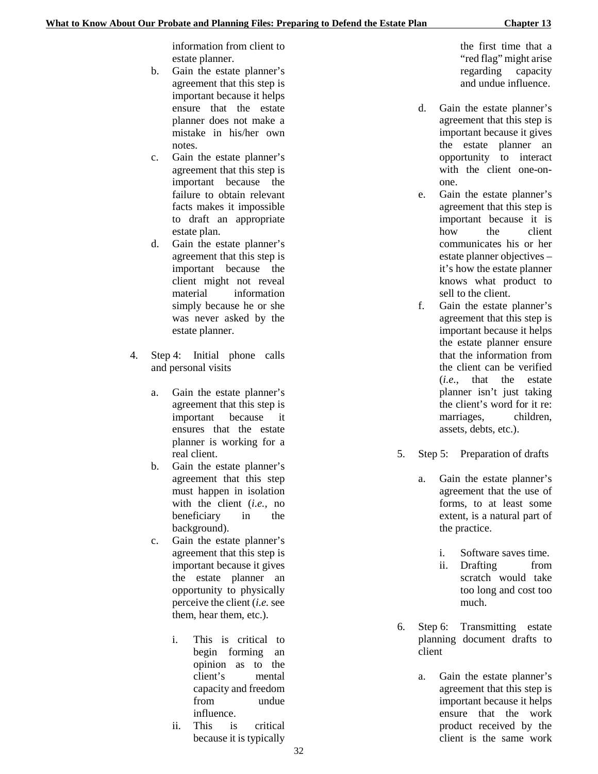information from client to estate planner.

- b. Gain the estate planner's agreement that this step is important because it helps ensure that the estate planner does not make a mistake in his/her own notes.
- c. Gain the estate planner's agreement that this step is important because the failure to obtain relevant facts makes it impossible to draft an appropriate estate plan.
- d. Gain the estate planner's agreement that this step is important because the client might not reveal material information simply because he or she was never asked by the estate planner.
- 4. Step 4: Initial phone calls and personal visits
	- a. Gain the estate planner's agreement that this step is important because it ensures that the estate planner is working for a real client.
	- b. Gain the estate planner's agreement that this step must happen in isolation with the client (*i.e.*, no beneficiary in the background).
	- c. Gain the estate planner's agreement that this step is important because it gives the estate planner an opportunity to physically perceive the client (*i.e.* see them, hear them, etc.).
		- i. This is critical to begin forming an opinion as to the client's mental capacity and freedom from undue influence.
		- ii. This is critical because it is typically

the first time that a "red flag" might arise regarding capacity and undue influence.

- d. Gain the estate planner's agreement that this step is important because it gives the estate planner an opportunity to interact with the client one-onone.
- e. Gain the estate planner's agreement that this step is important because it is how the client communicates his or her estate planner objectives – it's how the estate planner knows what product to sell to the client.
- f. Gain the estate planner's agreement that this step is important because it helps the estate planner ensure that the information from the client can be verified (*i.e.*, that the estate planner isn't just taking the client's word for it re: marriages, children, assets, debts, etc.).
- 5. Step 5: Preparation of drafts
	- a. Gain the estate planner's agreement that the use of forms, to at least some extent, is a natural part of the practice.
		- i. Software saves time.
		- ii. Drafting from scratch would take too long and cost too much.
- 6. Step 6: Transmitting estate planning document drafts to client
	- a. Gain the estate planner's agreement that this step is important because it helps ensure that the work product received by the client is the same work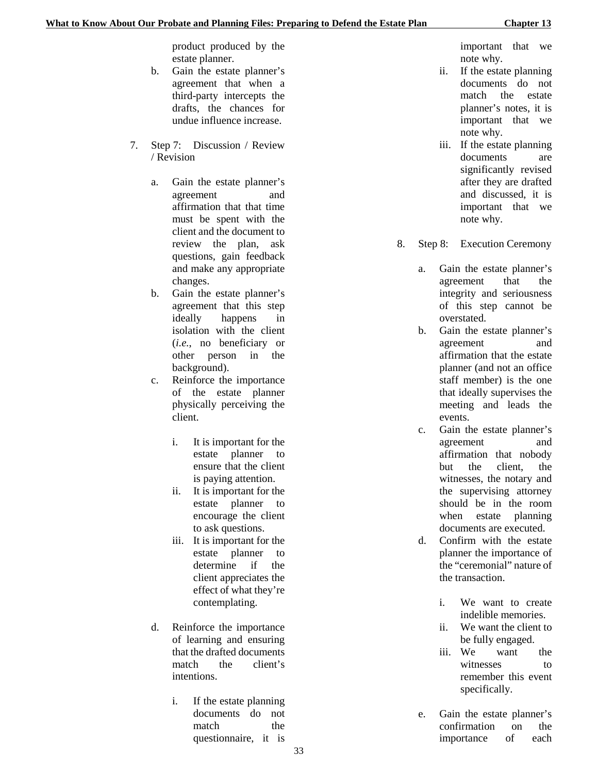product produced by the estate planner.

- b. Gain the estate planner's agreement that when a third-party intercepts the drafts, the chances for undue influence increase.
- 7. Step 7: Discussion / Review / Revision
	- a. Gain the estate planner's agreement and affirmation that that time must be spent with the client and the document to review the plan, ask questions, gain feedback and make any appropriate changes.
	- b. Gain the estate planner's agreement that this step ideally happens in isolation with the client (*i.e.*, no beneficiary or other person in the background).
	- c. Reinforce the importance of the estate planner physically perceiving the client.
		- i. It is important for the estate planner to ensure that the client is paying attention.
		- ii. It is important for the estate planner to encourage the client to ask questions.
		- iii. It is important for the estate planner to determine if the client appreciates the effect of what they're contemplating.
	- d. Reinforce the importance of learning and ensuring that the drafted documents match the client's intentions.
		- i. If the estate planning documents do not match the questionnaire, it is

important that we note why.

- ii. If the estate planning documents do not match the estate planner's notes, it is important that we note why.
- iii. If the estate planning documents are significantly revised after they are drafted and discussed, it is important that we note why.
- 8. Step 8: Execution Ceremony
	- a. Gain the estate planner's agreement that the integrity and seriousness of this step cannot be overstated.
	- b. Gain the estate planner's agreement and affirmation that the estate planner (and not an office staff member) is the one that ideally supervises the meeting and leads the events.
	- c. Gain the estate planner's agreement and affirmation that nobody but the client, the witnesses, the notary and the supervising attorney should be in the room when estate planning documents are executed.
	- d. Confirm with the estate planner the importance of the "ceremonial" nature of the transaction.
		- i. We want to create indelible memories.
		- ii. We want the client to be fully engaged.
		- iii. We want the witnesses to remember this event specifically.
	- e. Gain the estate planner's confirmation on the importance of each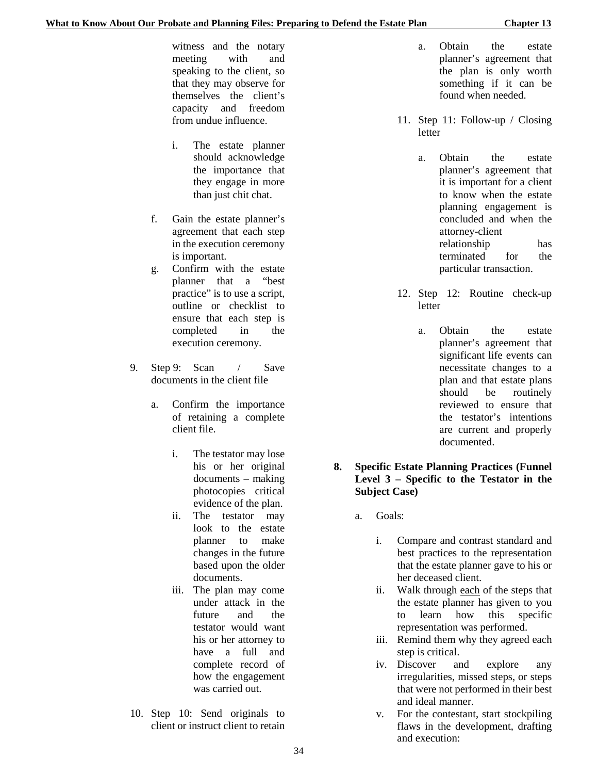witness and the notary meeting with and speaking to the client, so that they may observe for themselves the client's capacity and freedom from undue influence.

- i. The estate planner should acknowledge the importance that they engage in more than just chit chat.
- f. Gain the estate planner's agreement that each step in the execution ceremony is important.
- g. Confirm with the estate planner that a "best practice" is to use a script, outline or checklist to ensure that each step is completed in the execution ceremony.
- 9. Step 9: Scan / Save documents in the client file
	- a. Confirm the importance of retaining a complete client file.
		- i. The testator may lose his or her original documents – making photocopies critical evidence of the plan.
		- ii. The testator may look to the estate planner to make changes in the future based upon the older documents.
		- iii. The plan may come under attack in the future and the testator would want his or her attorney to have a full and complete record of how the engagement was carried out.
- 10. Step 10: Send originals to client or instruct client to retain
- a. Obtain the estate planner's agreement that the plan is only worth something if it can be found when needed.
- 11. Step 11: Follow-up / Closing letter
	- a. Obtain the estate planner's agreement that it is important for a client to know when the estate planning engagement is concluded and when the attorney-client relationship has terminated for the particular transaction.
- 12. Step 12: Routine check-up letter
	- a. Obtain the estate planner's agreement that significant life events can necessitate changes to a plan and that estate plans should be routinely reviewed to ensure that the testator's intentions are current and properly documented.
- **8. Specific Estate Planning Practices (Funnel Level 3 – Specific to the Testator in the Subject Case)**
	- a. Goals:
		- i. Compare and contrast standard and best practices to the representation that the estate planner gave to his or her deceased client.
		- ii. Walk through each of the steps that the estate planner has given to you to learn how this specific representation was performed.
		- iii. Remind them why they agreed each step is critical.
		- iv. Discover and explore any irregularities, missed steps, or steps that were not performed in their best and ideal manner.
		- v. For the contestant, start stockpiling flaws in the development, drafting and execution: